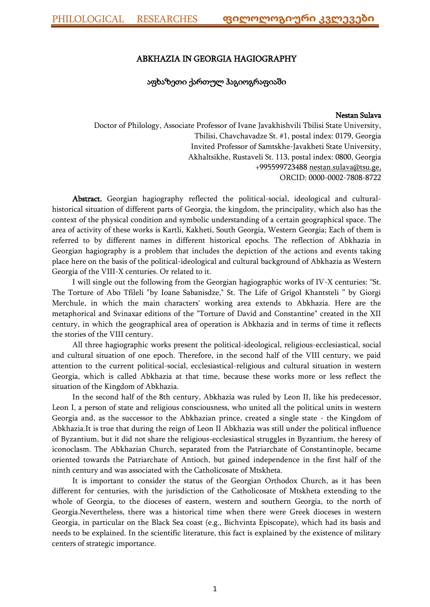### ABKHAZIA IN GEORGIA HAGIOGRAPHY

## აფხაზეთი ქართულ ჰაგიოგრაფიაში

#### Nestan Sulava

Doctor of Philology, Associate Professor of Ivane Javakhishvili Tbilisi State University, Tbilisi, Chavchavadze St. #1, postal index: 0179, Georgia Invited Professor of Samtskhe-Javakheti State University, Akhaltsikhe, Rustaveli St. 113, postal index: 0800, Georgia +995599723488 [nestan.sulava@tsu.ge,](mailto:nestan.sulava@tsu.ge) ORCID: [0000-0002-7808-8722](https://orcid.org/0000-0002-7808-8722)

Abstract. Georgian hagiography reflected the political-social, ideological and culturalhistorical situation of different parts of Georgia, the kingdom, the principality, which also has the context of the physical condition and symbolic understanding of a certain geographical space. The area of activity of these works is Kartli, Kakheti, South Georgia, Western Georgia; Each of them is referred to by different names in different historical epochs. The reflection of Abkhazia in Georgian hagiography is a problem that includes the depiction of the actions and events taking place here on the basis of the political-ideological and cultural background of Abkhazia as Western Georgia of the VIII-X centuries. Or related to it.

I will single out the following from the Georgian hagiographic works of IV-X centuries: "St. The Torture of Abo Tfileli "by Ioane Sabanisdze," St. The Life of Grigol Khantsteli " by Giorgi Merchule, in which the main characters' working area extends to Abkhazia. Here are the metaphorical and Svinaxar editions of the "Torture of David and Constantine" created in the XII century, in which the geographical area of operation is Abkhazia and in terms of time it reflects the stories of the VIII century.

All three hagiographic works present the political-ideological, religious-ecclesiastical, social and cultural situation of one epoch. Therefore, in the second half of the VIII century, we paid attention to the current political-social, ecclesiastical-religious and cultural situation in western Georgia, which is called Abkhazia at that time, because these works more or less reflect the situation of the Kingdom of Abkhazia.

In the second half of the 8th century, Abkhazia was ruled by Leon II, like his predecessor, Leon I, a person of state and religious consciousness, who united all the political units in western Georgia and, as the successor to the Abkhazian prince, created a single state - the Kingdom of Abkhazia.It is true that during the reign of Leon II Abkhazia was still under the political influence of Byzantium, but it did not share the religious-ecclesiastical struggles in Byzantium, the heresy of iconoclasm. The Abkhazian Church, separated from the Patriarchate of Constantinople, became oriented towards the Patriarchate of Antioch, but gained independence in the first half of the ninth century and was associated with the Catholicosate of Mtskheta.

It is important to consider the status of the Georgian Orthodox Church, as it has been different for centuries, with the jurisdiction of the Catholicosate of Mtskheta extending to the whole of Georgia, to the dioceses of eastern, western and southern Georgia, to the north of Georgia.Nevertheless, there was a historical time when there were Greek dioceses in western Georgia, in particular on the Black Sea coast (e.g., Bichvinta Episcopate), which had its basis and needs to be explained. In the scientific literature, this fact is explained by the existence of military centers of strategic importance.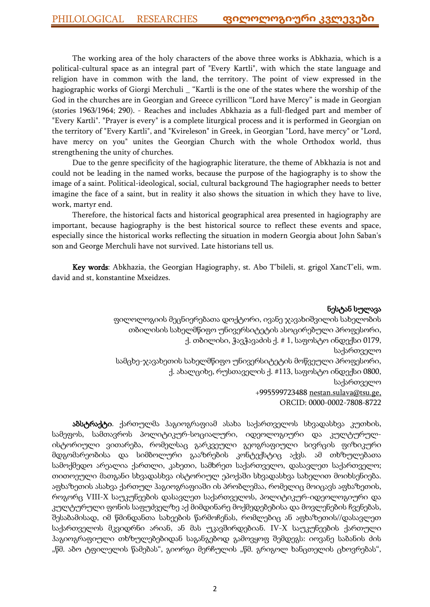The working area of the holy characters of the above three works is Abkhazia, which is a political-cultural space as an integral part of "Every Kartli", with which the state language and religion have in common with the land, the territory. The point of view expressed in the hagiographic works of Giorgi Merchuli \_ "Kartli is the one of the states where the worship of the God in the churches are in Georgian and Greece cyrillicon "Lord have Mercy" is made in Georgian (stories 1963/1964; 290). - Reaches and includes Abkhazia as a full-fledged part and member of "Every Kartli". "Prayer is every" is a complete liturgical process and it is performed in Georgian on the territory of "Every Kartli", and "Kvireleson" in Greek, in Georgian "Lord, have mercy" or "Lord, have mercy on you" unites the Georgian Church with the whole Orthodox world, thus strengthening the unity of churches.

Due to the genre specificity of the hagiographic literature, the theme of Abkhazia is not and could not be leading in the named works, because the purpose of the hagiography is to show the image of a saint. Political-ideological, social, cultural background The hagiographer needs to better imagine the face of a saint, but in reality it also shows the situation in which they have to live, work, martyr end.

Therefore, the historical facts and historical geographical area presented in hagiography are important, because hagiography is the best historical source to reflect these events and space, especially since the historical works reflecting the situation in modern Georgia about John Saban's son and George Merchuli have not survived. Late historians tell us.

Key words: Abkhazia, the Georgian Hagiography, st. Abo T'bileli, st. grigol XancT'eli, wm. david and st, konstantine Mxeidzes.

## ნესტან სულავა

ფილოლოგიის მეცნიერებათა დოქტორი, ივანე ჯავახიშვილის სახელობის თბილისის სახელმწიფო უნივერსიტეტის ასოცირებული პროფესორი, ქ. თბილისი, ჭავჭავაძის ქ. # 1, საფოსტო ინდექსი 0179, საქართველო სამცხე-ჯავახეთის სახელმწიფო უნივერსიტეტის მოწვეული პროფესორი, ქ. ახალციხე, რუსთაველის ქ. #113, საფოსტო ინდექსი 0800, საქართველო +995599723488 [nestan.sulava@tsu.ge,](mailto:nestan.sulava@tsu.ge) ORCID: [0000-0002-7808-8722](https://orcid.org/0000-0002-7808-8722)

აბსტრაქტი. ქართულმა ჰაგიოგრაფიამ ასახა საქართველოს სხვადასხვა კუთხის, სამეფოს, სამთავროს პოლიტიკურ-სოციალური, იდეოლოგიური და კულტურულისტორიული ვითარება, რომელსაც გარკვეული გეოგრაფიული სივრცის ფიზიკური მდგომარეობისა და სიმბოლური გააზრების კონტექსტიც აქვს. ამ თხზულებათა სამოქმედო არეალია ქართლი, კახეთი, სამხრეთ საქართველო, დასავლეთ საქართველო; თითოეული მათგანი სხვადასხვა ისტორიულ ეპოქაში სხვადასხვა სახელით მოიხსენიება. აფხაზეთის ასახვა ქართულ ჰაგიოგრაფიაში ის პრობლემაა, რომელიც მოიცავს აფხაზეთის, როგორც VIII-X საუკუნეების დასავლეთ საქართველოს, პოლიტიკურ-იდეოლოგიური და კულტურული ფონის საფუძველზე აქ მიმდინარე მოქმედებებისა და მოვლენების ჩვენებას, შესაბამისად, იმ წმინდანთა სახეების წარმოჩენას, რომლებიც ან აფხაზეთის//დასავლეთ საქართველოს მკვიდრნი არიან, ან მას უკავშირდებიან. IV-X საუკუნეების ქართული ჰაგიოგრაფიული თხზულებებიდან საგანგებოდ გამოვყოფ შემდეგს: იოვანე საბანის ძის "წმ. აბო ტფილელის წამებას", გიორგი მერჩულის "წმ. გრიგოლ ხანცთელის ცხოვრებას",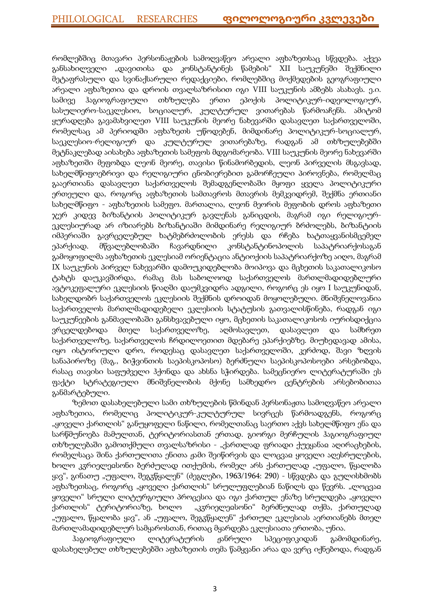რომლებშიც მთავარი პერსონაჟების სამოღვაწეო არეალი აფხაზეთსაც სწვდება. აქვეა განსახილველი "დავითისა და კონსტანტინეს წამების" XII საუკუნეში შექმნილი მეტაფრასული და სვინაქსარული რედაქციები, რომლებშიც მოქმედების გეოგრაფიული არეალი აფხაზეთია და დროის თვალსაზრისით იგი VIII საუკუნის ამბებს ასახავს. ე.ი. სამივე ჰაგიოგრაფიული თხზულება ერთი ეპოქის პოლიტიკურ-იდეოლოგიურ, სასულიერო-საეკლესიო, სოციალურ, კულტურულ ვითარებას წარმოაჩენს. ამიტომ ყურადღება გავამახვილეთ VIII საუკუნის მეორე ნახევარში დასავლეთ საქართველოში, რომელსაც ამ პერიოდში აფხაზეთს უწოდებენ, მიმდინარე პოლიტიკურ-სოციალურ, საეკლესიო-რელიგიურ და კულტურულ ვითარებაზე, რადგან ამ თხზულებებში მეტნაკლებად აისახება აფხაზეთის სამეფოს მდგომარეობა. VIII საუკუნის მეორე ნახევარში აფხაზეთში მეფობდა ლეონ მეორე, თავისი წინამორბედის, ლეონ პირველის მსგავსად, სახელმწიფოებრივი და რელიგიური ცნობიერებით გამორჩეული პიროვნება, რომელმაც გააერთიანა დასავლეთ საქართველოს შემადგენლობაში მყოფი ყველა პოლიტიკური ერთეული და, როგორც აფხაზეთის სამთავროს მთავრის მემკვიდრემ, შექმნა ერთიანი სახელმწიფო - აფხაზეთის სამეფო. მართალია, ლეონ მეორის მეფობის დროს აფხაზეთი ჯერ კიდევ ბიზანტიის პოლიტიკურ გავლენას განიცდის, მაგრამ იგი რელიგიურეკლესიურად არ იზიარებს ბიზანტიაში მიმდინარე რელიგიურ ბრძოლებს, ბიზანტიის იმპერიაში გავრცელებულ ხატმებრძოლობის ერესს და რჩება ხატთაყვანისმცემელ ეპარქიად. მწვალებლობაში ჩავარდნილი კონსტანტინოპოლის საპატრიარქოსაგან გამოყოფილმა აფხაზეთის ეკლესიამ ორიენტაცია ანტიოქიის საპატრიარქოზე აიღო, მაგრამ IX საუკუნის პირველ ნახევარში დამოუკიდებლობა მოიპოვა და მცხეთის საკათალიკოსო ტახტს დაუკავშირდა, რამაც მას საბოლოოდ საქართველოს მართლმადიდებლური ავტოკეფალური ეკლესიის წიაღში დაუმკვიდრა ადგილი, როგორც ეს იყო I საუკუნიდან, სახელდობრ საქართველოს ეკლესიის შექმნის დროიდან მოყოლებული. მნიშვნელოვანია საქართველოს მართლმადიდებელი ეკლესიის სტატუსის გათვალისწინება, რადგან იგი საუკუნეების განმავლობაში განსხვავებული იყო, მცხეთის საკათალიკოსოს იურისდიქცია ვრცელდებოდა მთელ საქართველოზე, აღმოსავლეთ, დასავლეთ და სამხრეთ საქართველოზე, საქართველოს ჩრდილოეთით მდებარე ეპარქიებზე. მიუხედავად ამისა, იყო ისტორიული დრო, როდესაც დასავლეთ საქართველოში, კერძოდ, შავი ზღვის სანაპიროზე (მაგ., ბიჭვინთის საეპისკოპოსო) ბერძნული საეპისკოპოსოები არსებობდა, რასაც თავისი საფუძველი ჰქონდა და ახსნა სჭირდება. სამეცნიერო ლიტერატურაში ეს ფაქტი სტრატეგიული მნიშვნელობის მქონე სამხედრო ცენტრების არსებობითაა განმარტებული.

ზემოთ დასახელებული სამი თხზულების წმინდან პერსონაჟთა სამოღვაწეო არეალი აფხაზეთია, რომელიც პოლიტიკურ-კულტურულ სივრცეს წარმოადგენს, როგორც "ყოველი ქართლის" განუყოფელი ნაწილი, რომელთანაც საერთო აქვს სახელმწიფო ენა და სარწმუნოება მამულთან, ტერიტორიასთან ერთად. გიორგი მერჩულის ჰაგიოგრაფიულ თხზულებაში გამოთქმული თვალსაზრისი - "ქართლად ფრიადი ქუეყანაჲ აღირაცხების, რომელსაცა შინა ქართულითა ენითა ჟამი შეიწირვის და ლოცვაჲ ყოველი აღესრულების, ხოლო კჳრიელეჲსონი ბერძულად ითქუმის, რომელ არს ქართულად "უფალო, წყალობა ყავ", გინათუ "უფალო, შეგჳწყალენ" (ძეგლები, 1963/1964: 290) - სწვდება და გულისხმობს აფხაზეთსაც, როგორც "ყოველი ქართლის" სრულუფლებიან ნაწილს და წევრს. "ლოცვაჲ ყოველი" სრული ლიტურგიული პროცესია და იგი ქართულ ენაზე სრულდება "ყოველი ქართლის" ტერიტორიაზე, ხოლო "კჳრიელეჲსონი" ბერძნულად თქმა, ქართულად "უფალო, წყალობა ყავ", ან "უფალო, შეგჳწყალენ" ქართულ ეკლესიას აერთიანებს მთელ მართლამადიდებლურ სამყაროსთან, რითაც მყარდება ეკლესიათა ერთობა, უნია.

ჰაგიოგრაფიული ლიტერატურის ჟანრული სპეციფიკიდან გამომდინარე, დასახელებულ თხზულებებში აფხაზეთის თემა წამყვანი არაა და ვერც იქნებოდა, რადგან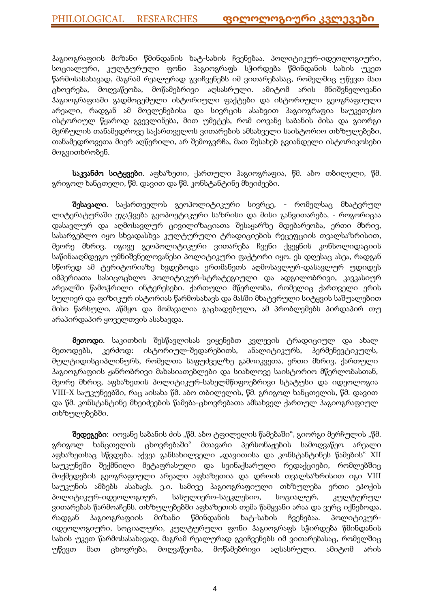ჰაგიოგრაფიის მიზანი წმინდანის ხატ-სახის ჩვენებაა. პოლიტიკურ-იდეოლოგიური, სოციალური, კულტურული ფონი ჰაგიოგრაფს სჭირდება წმინდანის სახის უკეთ წარმოსასახავად, მაგრამ რეალურად გვიჩვენებს იმ ვითარებასაც, რომელშიც უწევთ მათ ცხოვრება, მოღვაწეობა, მოწამებრივი აღსასრული. ამიტომ არის მნიშვნელოვანი ჰაგიოგრაფიაში გადმოცემული ისტორიული ფაქტები და ისტორიული გეოგრაფიული არეალი, რადგან ამ მოვლენებისა და სივრცის ასახვით ჰაგიოგრაფია საუკეთესო ისტორიულ წყაროდ გვევლინება, მით უმეტეს, რომ იოვანე საბანის ძისა და გიორგი მერჩულის თანამედროვე საქართველოს ვითარების ამსახველი საისტორიო თხზულებები, თანამედროვეთა მიერ აღწერილი, არ შემოგვრჩა, მათ შესახებ გვიანდელი ისტორიკოსები მოგვითხრობენ.

საკვანძო სიტყვები. აფხაზეთი, ქართული ჰაგიოგრაფია, წმ. აბო თბილელი, წმ. გრიგოლ ხანცთელი, წმ. დავით და წმ. კონსტანტინე მხეიძეები.

შესავალი. საქართველოს გეოპოლიტიკური სივრცე, - რომელსაც მხატვრულ ლიტერატურაში ეჯაჭვება გეოპოეტიკური საზრისი და მისი განვითარება, - როგორიცაა დასავლურ და აღმოსავლურ ცივილიზაციათა შესაყარზე მდებარეობა, ერთი მხრივ, სასარგებლო იყო სხვადასხვა კულტურული ტრადიციების რეცეფციის თვალსაზრისით, მეორე მხრივ, იგივე გეოპოლიტიკური ვითარება ჩვენი ქვეყნის კონსოლიდაციის საწინააღმდეგო უმნიშვნელოვანესი პოლიტიკური ფაქტორი იყო. ეს დღესაც ასეა, რადგან სწორედ ამ ტერიტორიაზე ხვდებოდა ერთმანეთს აღმოსავლურ-დასავლურ უდიდეს იმპერიათა სასიცოცხლო პოლიტიკურ-სტრატეგიული და ადგილობრივი, კავკასიურ არეალში წამოჭრილი ინტერესები. ქართული მწერლობა, რომელიც ქართველი ერის სულიერ და ფიზიკურ ისტორიას წარმოსახავს და მასში მხატვრული სიტყვის საშუალებით მისი წარსული, აწმყო და მომავალია გაცხადებული, ამ პრობლემებს პირდაპირ თუ არაპირდაპირ ყოველთვის ასახავდა.

მეთოდი. საკითხის შესწავლისას ვიყენებთ კვლევის ტრადიციულ და ახალ მეთოდებს, კერძოდ: ისტორიულ-შედარებითს, ანალიტიკურს, ჰერმენევტიკულს, მულტიდისციპლინურს, რომელთა საფუძველზე გამოიკვეთა, ერთი მხრივ, ქართული ჰაგიოგრაფიის ჟანრობრივი მახასიათებლები და სიახლოვე საისტორიო მწერლობასთან, მეორე მხრივ, აფხაზეთის პოლიტიკურ-სახელმწიფოებრივი სტატუსი და იდეოლოგია VIII-X საუკუნეებში, რაც აისახა წმ. აბო თბილელის, წმ. გრიგოლ ხანცთელის, წმ. დავით და წმ. კონსტანტინე მხეიძეების წამება-ცხოვრებათა ამსახველ ქართულ ჰაგიოგრაფიულ თხზულებებში.

შედეგები: იოვანე საბანის ძის "წმ. აბო ტფილელის წამებაში", გიორგი მერჩულის "წმ. გრიგოლ ხანცთელის ცხოვრებაში" მთავარი პერსონაჟების სამოღვაწეო არეალი აფხაზეთსაც სწვდება. აქვეა განსახილველი "დავითისა და კონსტანტინეს წამების" XII საუკუნეში შექმნილი მეტაფრასული და სვინაქსარული რედაქციები, რომლებშიც მოქმედების გეოგრაფიული არეალი აფხაზეთია და დროის თვალსაზრისით იგი VIII საუკუნის ამბებს ასახავს. ე.ი. სამივე ჰაგიოგრაფიული თხზულება ერთი ეპოქის პოლიტიკურ-იდეოლოგიურ, სასულიერო-საეკლესიო, სოციალურ, კულტურულ ვითარებას წარმოაჩენს. თხზულებებში აფხაზეთის თემა წამყვანი არაა და ვერც იქნებოდა, რადგან ჰაგიოგრაფიის მიზანი წმინდანის ხატ-სახის ჩვენებაა. პოლიტიკურიდეოლოგიური, სოციალური, კულტურული ფონი ჰაგიოგრაფს სჭირდება წმინდანის სახის უკეთ წარმოსასახავად, მაგრამ რეალურად გვიჩვენებს იმ ვითარებასაც, რომელშიც უწევთ მათ ცხოვრება, მოღვაწეობა, მოწამებრივი აღსასრული. ამიტომ არის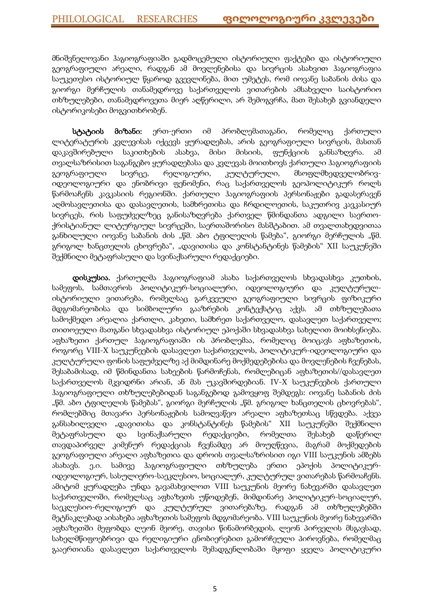მნიშვნელოვანი ჰაგიოგრაფიაში გადმოცემული ისტორიული ფაქტები და ისტორიული გეოგრაფიული არეალი, რადგან ამ მოვლენებისა და სივრცის ასახვით ჰაგიოგრაფია საუკეთესო ისტორიულ წყაროდ გვევლინება, მით უმეტეს, რომ იოვანე საბანის ძისა და გიორგი მერჩულის თანამედროვე საქართველოს ვითარების ამსახველი საისტორიო თხზულებები, თანამედროვეთა მიერ აღწერილი, არ შემოგვრჩა, მათ შესახებ გვიანდელი ისტორიკოსები მოგვითხრობენ.

სტატიის მიზანი: ერთ-ერთი იმ პრობლემათაგანი, რომელიც ქართული ლიტერატურის კვლევისას იქცევს ყურადღებას, არის გეოგრაფიული სივრცის, მასთან დაკავშირებული საკითხების ასახვა, მისი მისიის, ფუნქციის განსაზღვრა. ამ თვალსაზრისით საგანგებო ყურადღებასა და კვლევას მოითხოვს ქართული ჰაგიოგრაფიის გეოგრაფიული სივრცე, რელიგიური, კულტურული, მსოფლმხედველობრივიდეოლოგიური და ენობრივი ფენომენი, რაც საქართველოს გეოპოლიტიკურ როლს წარმოაჩენს კავკასიის რეგიონში. ქართული ჰაგიოგრაფიის პერსონაჟები გადასერავენ აღმოსავლეთისა და დასავლეთის, სამხრეთისა და ჩრდილოეთის, საკუთრივ კავკასიურ სივრცეს, რის საფუძველზეც განისაზღვრება ქართველ წმინდანთა ადგილი საერთოქრისტიანულ ლიტურგიულ სივრცეში, საერთაშორისო მასშტაბით. ამ თვალთახედვითაა განხილული იოვანე საბანის ძის "წმ. აბო ტფილელის წამება", გიორგი მერჩულის "წმ. გრიგოლ ხანცთელის ცხოვრება", "დავითისა და კონსტანტინეს წამების" XII საუკუნეში შექმნილი მეტაფრასული და სვინაქსარული რედაქციები.

დისკუსია. ქართულმა ჰაგიოგრაფიამ ასახა საქართველოს სხვადასხვა კუთხის, სამეფოს, სამთავროს პოლიტიკურ-სოციალური, იდეოლოგიური და კულტურულისტორიული ვითარება, რომელსაც გარკვეული გეოგრაფიული სივრცის ფიზიკური მდგომარეობისა და სიმბოლური გააზრების კონტექსტიც აქვს. ამ თხზულებათა სამოქმედო არეალია ქართლი, კახეთი, სამხრეთ საქართველო, დასავლეთ საქართველო; თითოეული მათგანი სხვადასხვა ისტორიულ ეპოქაში სხვადასხვა სახელით მოიხსენიება. აფხაზეთი ქართულ ჰაგიოგრაფიაში ის პრობლემაა, რომელიც მოიცავს აფხაზეთის, როგორც VIII-X საუკუნეების დასავლეთ საქართველოს, პოლიტიკურ-იდეოლოგიური და კულტურული ფონის საფუძველზე აქ მიმდინარე მოქმედებებისა და მოვლენების ჩვენებას, შესაბამისად, იმ წმინდანთა სახეების წარმოჩენას, რომლებიცან აფხაზეთის//დასავლეთ საქართველოს მკვიდრნი არიან, ან მას უკავშირდებიან. IV-X საუკუნეების ქართული ჰაგიოგრაფიული თხზულებებიდან საგანგებოდ გამოვყოფ შემდეგს: იოვანე საბანის ძის "წმ. აბო ტფილელის წამებას", გიორგი მერჩულის "წმ. გრიგოლ ხანცთელის ცხოვრებას", რომლებშიც მთავარი პერსონაჟების სამოღვაწეო არეალი აფხაზეთსაც სწვდება. აქვეა განსახილველი "დავითისა და კონსტანტინეს წამების" XII საუკუნეში შექმნილი მეტაფრასული და სვინაქსარული რედაქციები, რომელთა შესახებ დაწერილ თავდაპირველ კიმენურ რედაქციას ჩვენამდე არ მოუღწევია, მაგრამ მოქმედების გეოგრაფიული არეალი აფხაზეთია და დროის თვალსაზრისით იგი VIII საუკუნის ამბებს ასახავს. ე.ი. სამივე ჰაგიოგრაფიული თხზულება ერთი ეპოქის პოლიტიკურიდეოლოგიურ, სასულიერო-საეკლესიო, სოციალურ, კულტურულ ვითარებას წარმოაჩენს. ამიტომ ყურადღება უნდა გავამახვილოთ VIII საუკუნის მეორე ნახევარში დასავლეთ საქართველოში, რომელსაც აფხაზეთს უწოდებენ, მიმდინარე პოლიტიკურ-სოციალურ, საეკლესიო-რელიგიურ და კულტურულ ვითარებაზე, რადგან ამ თხზულებებში მეტნაკლებად აისახება აფხაზეთის სამეფოს მდგომარეობა. VIII საუკუნის მეორე ნახევარში აფხაზეთში მეფობდა ლეონ მეორე, თავისი წინამორბედის, ლეონ პირველის მსგავსად, სახელმწიფოებრივი და რელიგიური ცნობიერებით გამორჩეული პიროვნება, რომელმაც გააერთიანა დასავლეთ საქართველოს შემადგენლობაში მყოფი ყველა პოლიტიკური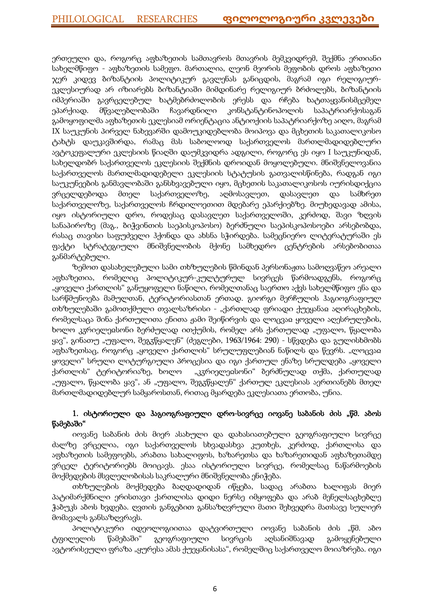ერთეული და, როგორც აფხაზეთის სამთავროს მთავრის მემკვიდრემ, შექმნა ერთიანი სახელმწიფო - აფხაზეთის სამეფო. მართალია, ლეონ მეორის მეფობის დროს აფხაზეთი ჯერ კიდევ ბიზანტიის პოლიტიკურ გავლენას განიცდის, მაგრამ იგი რელიგიურეკლესიურად არ იზიარებს ბიზანტიაში მიმდინარე რელიგიურ ბრძოლებს, ბიზანტიის იმპერიაში გავრცელებულ ხატმებრძოლობის ერესს და რჩება ხატთაყვანისმცემელ ეპარქიად. მწვალებლობაში ჩავარდნილი კონსტანტინოპოლის საპატრიარქოსაგან გამოყოფილმა აფხაზეთის ეკლესიამ ორიენტაცია ანტიოქიის საპატრიარქოზე აიღო, მაგრამ IX საუკუნის პირველ ნახევარში დამოუკიდებლობა მოიპოვა და მცხეთის საკათალიკოსო ტახტს დაუკავშირდა, რამაც მას საბოლოოდ საქართველოს მართლმადიდებლური ავტოკეფალური ეკლესიის წიაღში დაუმკვიდრა ადგილი, როგორც ეს იყო I საუკუნიდან, სახელდობრ საქართველოს ეკლესიის შექმნის დროიდან მოყოლებული. მნიშვნელოვანია საქართველოს მართლმადიდებელი ეკლესიის სტატუსის გათვალისწინება, რადგან იგი საუკუნეების განმავლობაში განსხვავებული იყო, მცხეთის საკათალიკოსოს იურისდიქცია ვრცელდებოდა მთელ საქართველოზე, აღმოსავლეთ, დასავლეთ და სამხრეთ საქართველოზე, საქართველოს ჩრდილოეთით მდებარე ეპარქიებზე. მიუხედავად ამისა, იყო ისტორიული დრო, როდესაც დასავლეთ საქართველოში, კერძოდ, შავი ზღვის სანაპიროზე (მაგ., ბიჭვინთის საეპისკოპოსო) ბერძნული საეპისკოპოსოები არსებობდა, რასაც თავისი საფუძველი ჰქონდა და ახსნა სჭირდება. სამეცნიერო ლიტერატურაში ეს ფაქტი სტრატეგიული მნიშვნელობის მქონე სამხედრო ცენტრების არსებობითაა განმარტებული.

ზემოთ დასახელებული სამი თხზულების წმინდან პერსონაჟთა სამოღვაწეო არეალი აფხაზეთია, რომელიც პოლიტიკურ-კულტურულ სივრცეს წარმოადგენს, როგორც "ყოველი ქართლის" განუყოფელი ნაწილი, რომელთანაც საერთო აქვს სახელმწიფო ენა და სარწმუნოება მამულთან, ტერიტორიასთან ერთად. გიორგი მერჩულის ჰაგიოგრაფიულ თხზულებაში გამოთქმული თვალსაზრისი - "ქართლად ფრიადი ქუეყანაჲ აღირაცხების, რომელსაცა შინა ქართულითა ენითა ჟამი შეიწირვის და ლოცვაჲ ყოველი აღესრულების, ხოლო კჳრიელეჲსონი ბერძულად ითქუმის, რომელ არს ქართულად "უფალო, წყალობა ყავ", გინათუ "უფალო, შეგჳწყალენ" (ძეგლები, 1963/1964: 290) - სწვდება და გულისხმობს აფხაზეთსაც, როგორც "ყოველი ქართლის" სრულუფლებიან ნაწილს და წევრს. "ლოცვაჲ ყოველი" სრული ლიტურგიული პროცესია და იგი ქართულ ენაზე სრულდება "ყოველი ქართლის" ტერიტორიაზე, ხოლო "კჳრიელეჲსონი" ბერძნულად თქმა, ქართულად "უფალო, წყალობა ყავ", ან "უფალო, შეგჳწყალენ" ქართულ ეკლესიას აერთიანებს მთელ მართლმადიდებლურ სამყაროსთან, რითაც მყარდება ეკლესიათა ერთობა, უნია.

## 1. ისტორიული და ჰაგიოგრაფიული დრო-სივრცე იოვანე საბანის ძის "წმ. აბოს წამებაში"

იოვანე საბანის ძის მიერ ასახული და დახასიათებული გეოგრაფიული სივრცე ძალზე ვრცელია, იგი საქართველოს სხვადასხვა კუთხეს, კერძოდ, ქართლისა და აფხაზეთის სამეფოებს, არაბთა სახალიფოს, ხაზარეთსა და ხაზარეთიდან აფხაზეთამდე ვრცელ ტერიტორიებს მოიცავს. ესაა ისტორიული სივრცე, რომელსაც ნაწარმოების მოქმედების მსვლელობისას საკრალური მნიშვნელობა ენიჭება.

თხზულების მოქმედება ბაღდადიდან იწყება, სადაც არაბთა ხალიფას მიერ პატიმარქმნილი ერისთავი ქართლისა დიდი ნერსე იმყოფება და არაბ მენელსაცხებლე ჭაბუკს აბოს ხვდება. ღვთის განგებით განსაზღვრული მათი შეხვედრა მათსავე სულიერ მომავალს განსაზღვრავს.

პოლიტიკური იდეოლოგიითაა დატვირთული იოვანე საბანის ძის "წმ. აბო ტფილელის წამებაში" გეოგრაფიული სივრცის აღსანიშნავად გამოყენებული ავტორისეული ფრაზა "ყურესა ამას ქუეყანისასა", რომელშიც საქართველო მოიაზრება. იგი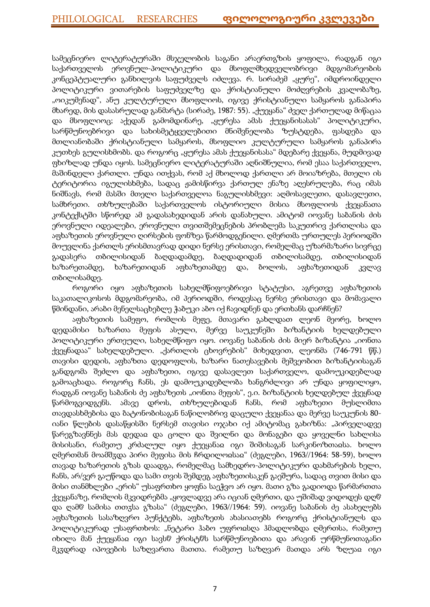სამეცნიერო ლიტერატურაში მსჯელობის საგანი არაერთგზის ყოფილა, რადგან იგი საქართველოს ეროვნულ-პოლიტიკური და მსოფლმხედველობრივი მდგომარეობის კონცეპტუალური განხილვის საფუძველს იძლევა. რ. სირაძემ "ყურე", იმდროინდელი პოლიტიკური ვითარების საფუძველზე და ქრისტიანული მოძღვრების კვალობაზე, "ოიკუმენად", ანუ კულტურული მსოფლიოს, იგივე ქრისტიანული სამყაროს განაპირა მხარედ, მის დასასრულად განმარტა (სირაძე, 1987: 55). "ქუეყანა" ძველ ქართულად მიწაცაა და მსოფლიოც; აქედან გამომდინარე, "ყურესა ამას ქუეყანისასას" პოლიტიკური, სარწმუნოებრივი და სახისმეტყველებითი მნიშვნელობა ზუსტდება, ფასდება და მთლიანობაში ქრისტიანული სამყაროს, მსოფლიო კულტურული სამყაროს განაპირა კუთხეს გულისხმობს. და როგორც "ყურესა ამას ქუეყანისასა" მდებარე ქვეყანა, მუდმივად ფხიზლად უნდა იყოს. სამეცნიერო ლიტერატურაში აღნიშნულია, რომ ესაა საქართველო, მაშინდელი ქართლი. უნდა ითქვას, რომ აქ მხოლოდ ქართლი არ მოიაზრება, მთელი ის ტერიტორია იგულისხმება, სადაც ჟამისწირვა ქართულ ენაზე აღესრულება, რაც იმას ნიშნავს, რომ მასში მთელი საქართველოა ნაგულისხმევი: აღმოსავლეთი, დასავლეთი, სამხრეთი. თხზულებაში საქართველოს ისტორიული მისია მსოფლიოს ქვეყანათა კონტექსტში სწორედ ამ გადასახედიდან არის დანახული. ამიტომ იოვანე საბანის ძის ეროვნული იდეალები, ეროვნული თვითშემეცნების პრობლემა საკუთრივ ქართლისა და აფხაზეთის ეროვნული ღირსების ფონზეა წარმოდგენილი. ღმერთმა ურთულეს პერიოდში მოუვლინა ქართლს ერისმთავრად დიდი ნერსე ერისთავი, რომელმაც უზარმაზარი სივრცე გადასერა თბილისიდან ბაღდადამდე, ბაღდადიდან თბილისამდე, თბილისიდან ხაზარეთამდე, ხაზარეთიდან აფხაზეთამდე და, ბოლოს, აფხაზეთიდან კვლავ თბილისამდე.

როგორი იყო აფხაზეთის სახელმწიფოებრივი სტატუსი, აგრეთვე აფხაზეთის საკათალიკოსოს მდგომარეობა, იმ პერიოდში, როდესაც ნერსე ერისთავი და მომავალი წმინდანი, არაბი მენელსაცხებლე ჭაბუკი აბო იქ ჩავიდნენ და ერთხანს დარჩნენ?

აფხაზეთის სამეფო, რომლის მეფე, მთავარი გახლდათ ლეონ მეორე, ხოლო დედამისი ხაზართა მეფის ასული, მერვე საუკუნეში ბიზანტიის ხელდებული პოლიტიკური ერთეული, სახელმწიფო იყო. იოვანე საბანის ძის მიერ ბიზანტია "იონთა ქვეყნადაა" სახელდებული. "ქართლის ცხოვრების" მიხედვით, ლეონმა (746-791 წწ.) თავისი დედის, აფხაზთა დედოფლის, ხაზარი ნათესავების მეშვეობით ბიზანტიისაგან განდგომა შეძლო და აფხაზეთი, იგივე დასავლეთ საქართველო, დამოუკიდებლად გამოაცხადა. როგორც ჩანს, ეს დამოუკიდებლობა ხანგრძლივი არ უნდა ყოფილიყო, რადგან იოვანე საბანის ძე აფხაზეთს "იონთა მეფის", ე.ი. ბიზანტიის ხელდებულ ქვეყნად წარმოგვიდგენს. ამავე დროს, თხზულებიდან ჩანს, რომ აფხაზეთი მუსლიმთა თავდასხმებისა და ბატონობისაგან ნაწილობრივ დაცული ქვეყანაა და მერვე საუკუნის 80 იანი წლების დასაწყისში ნერსემ თავისი ოჯახი იქ ამიტომაც გახიზნა: "პირველადვე წარეგზავნნეს მას დედაჲ და ცოლი და შვილნი და მონაგები და ყოველნი სახლისა მისისანი, რამეთუ კრძალულ იყო ქუეყანაჲ იგი შიშისაგან სარკინოზთაჲსა. ხოლო ღმერთმან მოამშჳდა პირი მეფისა მის ჩრდილოჲსაჲ" (ძეგლები, 1963//1964: 58-59), ხოლო თავად ხაზარეთის გზას დაადგა, რომელმაც სამხედრო-პოლიტიკური დახმარების ხელი, ჩანს, არ/ვერ გაუწოდა და სამი თვის შემდეგ აფხაზეთისაკენ გაეშურა, სადაც თვით მისი და მისი თანმხლები "ერის" უსაფრთხო ყოფნა საეჭვო არ იყო. მათი გზა გადიოდა წარმართთა ქვეყანაზე, რომლის მკვიდრებმა "ყოვლადვე არა იციან ღმერთი, და უშიშად ვიდოდეს დღჱ და ღამჱ სამისა თთჳსა გზასა" (ძეგლები, 1963//1964: 59). იოვანე საბანის ძე ასახელებს აფხაზეთის სასაზღვრო პუნქტებს, აფხაზეთს ახასიათებს როგორც ქრისტიანულს და პოლიტიკურად უსაფრთხოს: "ნეტარი ჰაბო უფროჲსღა ჰმადლობდა ღმერთსა, რამეთუ იხილა მან ქუეყანაჲ იგი სავსჱ ქრისტჱს სარწმუნოებითა და არავინ ურწმუნოთაგანი მკჳდრად იპოვების საზღვართა მათთა. რამეთუ საზღვარ მათდა არს ზღუაჲ იგი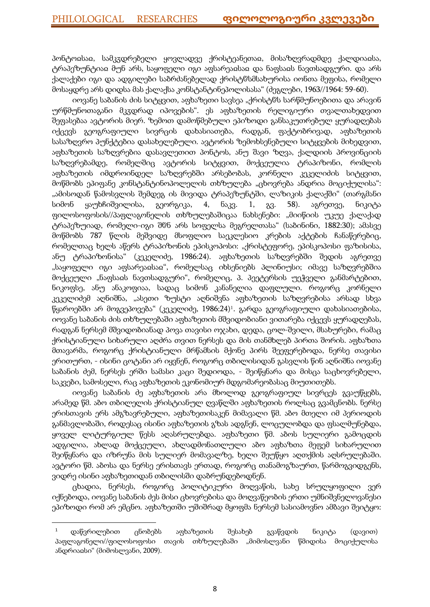პონტოჲსაჲ, სამკჳდრებელი ყოვლადვე ქრისტეანეთაჲ, მისაზღვრადმდე ქალდიაჲსა, ტრაპეზუნტიაჲ მუნ არს, საყოფელი იგი აფსარეაჲსაჲ და ნაფსაჲს ნავთსადგური. და არს ქალაქები იგი და ადგილები საბრძანებელად ქრისტჱსმსახურისა იონთა მეფისა, რომელი მოსაყდრე არს დიდსა მას ქალაქსა კონსტანტინეპოლისასა" (ძეგლები, 1963//1964: 59-60).

იოვანე საბანის ძის სიტყვით, აფხაზეთი სავსეა "ქრისტჱს სარწმუნოებითა და არავინ ურწმუნოთაგანი მკჳდრად იპოვების". ეს აფხაზეთის რელიგიური თვალთახედვით შეფასებაა ავტორის მიერ. ზემოთ დამოწმებული ეპიზოდი განსაკუთრებულ ყურადღებას იქცევს გეოგრაფიული სივრცის დახასიათება, რადგან, ფაქტობრივად, აფხაზეთის სასაზღვრო პუნქტებია დასახელებული. ავტორის ზემოხსენებული სიტყვების მიხედვით, აფხაზეთის საზღვრებია დასავლეთით პონტოს, ანუ შავი ზღვა, ქალდიის პროვინციის საზღვრებამდე, რომელშიც ავტორის სიტყვით, მოქცეულია ტრაპიზონი, რომლის აფხაზეთის იმდროინდელ საზღვრებში არსებობას, კორნელი კეკელიძის სიტყვით, მოწმობს ეპიფანე კონსტანტინოპოლელის თხზულება "ცხოვრება ანდრია მოციქულისა": "ამისოდან წამოსვლის შემდეგ ის მივიდა ტრაპეზუნტში, ლაზიკის ქალაქში" (თარგმანი სიმონ ყაუხჩიშვილისა, გეორგიკა, 4, ნაკვ. 1, გვ. 58). აგრეთვე, ნიკიტა ფილოსოფოსის//პაფლაგონელის თხზულებაშიცაა ნახსენები: "მიიწიის უკუე ქალაქად ტრაპეზუიად, რომელი-იგი შჱნ არს სოფელსა მეგრელთასა" (საბინინი, 1882:30); ამასვე მოწმობს 787 წლის მეშვიდე მსოფლიო საეკლესიო კრების აქტების ჩანაწერებიც, რომელთაც ხელს აწერს ტრაპიზონის ეპისკოპოსი: "ქრისტეფორე, ეპისკოპოსი ფაზისისა, ანუ ტრაპიზონისა" (კეკელიძე, 1986:24). აფხაზეთის საზღვრებში შედის აგრეთვე "საყოფელი იგი აფსარეაჲსაჲ", რომელსაც იხსენიებს პლინიუსი; იმავე საზღვრებშია მოქცეული "ნაფსაჲს ნავთსადგური", რომელიც, პ. პეეტერსის უეჭველი განმარტებით, ნიკოფსე, ანუ ანაკოფიაა, სადაც სიმონ კანანელია დაფლული. როგორც კორნელი კეკელიძემ აღნიშნა, "ასეთი ზუსტი აღნიშვნა აფხაზეთის საზღვრებისა არსად სხვა წყაროებში არ მოგვეპოვება" (კეკელიძე, 1986:24)<sup>1</sup> . გარდა გეოგრაფიული დახასიათებისა, იოვანე საბანის ძის თხზულებაში აფხაზეთის მშვიდობიანი ვითარება იქცევს ყურადღებას, რადგან ნერსემ მშვიდობიანად პოვა თავისი ოჯახი, დედა, ცოლ-შვილი, მსახურები, რამაც ქრისტიანული სიხარული აღძრა თვით ნერსეს და მის თანმხლებ პირთა შორის. აფხაზთა მთავარმა, როგორც ქრისტიანული მრწამსის მქონე პირს შეეფერებოდა, ნერსე თავისი ერითურთ, - ისინი ცოტანი არ იყვნენ, როგორც თბილისიდან გასვლის წინ აღნიშნა იოვანე საბანის ძემ, ნერსეს ერში სამასი კაცი შედიოდა, - შეიწყნარა და მისცა საცხოვრებელი, საკვები, სამოსელი, რაც აფხაზეთის ეკონომიურ მდგომარეობასაც მიუთითებს.

იოვანე საბანის ძე აფხაზეთის არა მხოლოდ გეოგრაფიულ სივრცეს გვაუწყებს, არამედ წმ. აბო თბილელის ქრისტიანულ ღვაწლში აფხაზეთის როლსაც გვამცნობს. ნერსე ერისთავის ერს ამგზავრებული, აფხაზეთისაკენ მიმავალი წმ. აბო მთელი იმ პერიოდის განმავლობაში, როდესაც ისინი აფხაზეთის გზას ადგნენ, ლოცულობდა და ფსალმუნებდა, ყოველ ლიტურგიულ წესს აღასრულებდა. აფხაზეთი წმ. აბოს სულიერი გამოცდის ადგილია, ახლად მოქცეული, ახლადმონათლული აბო აფხაზთა მეფემ სიხარულით შეიწყნარა და იზრუნა მის სულიერ მომავალზე, ხელი შეუწყო აღთქმის აღსრულებაში. ავტორი წმ. აბოსა და ნერსე ერისთავს ერთად, როგორც თანამოგზაურთ, წარმოგვიდგენს, ვიდრე ისინი აფხაზეთიდან თბილისში დაბრუნდებოდნენ.

ცხადია, ნერსეს, როგორც პოლიტიკური მოღვაწის, სახე სრულყოფილი ვერ იქნებოდა, იოვანე საბანის ძეს მისი ცხოვრებისა და მოღვაწეობის ერთი უმნიშვნელოვანესი ეპიზოდი რომ არ ემცნო. აფხაზეთში უშიშრად მყოფმა ნერსემ სასიამოვნო ამბავი შეიტყო:

1

 $1$  დაწვრილებით ცნობებს აფხაზეთის შესახებ გვაწვდის ნიკიტა (დავით) პაფლაგონელი//ფილოსოფოსი თავის თხზულებაში "მიმოსლვანი წმიდისა მოციქულისა ანდრიაჲსი" (მიმოსლვანი, 2009).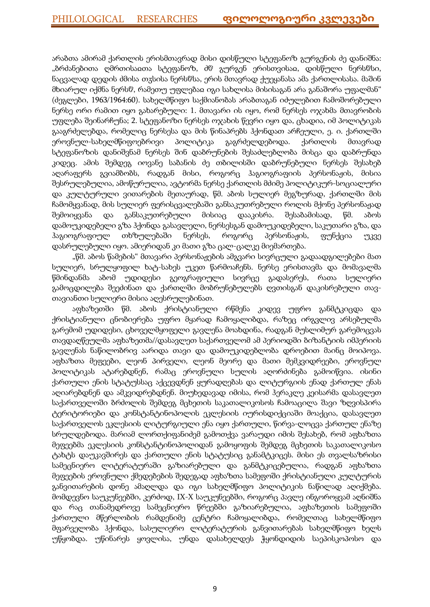არაბთა ამირამ ქართლის ერისმთავრად მისი დისწული სტეფანოზ გურგენის ძე დანიშნა: "ბრძანებითა ღმრთისაჲთა სტეფანოზ, ძჱ გურგენ ერისთვისაჲ, დისწული ნერსჱსი, ნაცვალად დედის ძმისა თჳსისა ნერსჱსა, ერის მთავრად ქუეყანასა ამა ქართლისასა. მაშინ მხიარულ იქმნა ნერსჱ, რამეთუ უფლებაჲ იგი სახლისა მისისაგან არა განაშორა უფალმან" (ძეგლები, 1963/1964:60). სახელმწიფო საქმიანობას არაბთაგან იძულებით ჩამოშორებული ნერსე ორი რამით იყო გახარებული: 1. მთავარი ის იყო, რომ ნერსეს ოჯახმა მთავრობის უფლება შეინარჩუნა; 2. სტეფანოზი ნერსეს ოჯახის წევრი იყო და, ცხადია, იმ პოლიტიკას გააგრძელებდა, რომელიც ნერსესა და მის წინაპრებს ჰქონდათ არჩეული, ე. ი. ქართლში ეროვნულ-სახელმწიფოებრივი პოლიტიკა გაგრძელდებოდა. ქართლის მთავრად სტეფანოზის დანიშვნამ ნერსეს შინ დაბრუნების შესაძლებლობა მისცა და დაბრუნდა კიდეც. ამის შემდეგ იოვანე საბანის ძე თბილისში დაბრუნებული ნერსეს შესახებ აღარაფერს გვიამბობს, რადგან მისი, როგორც ჰაგიოგრაფიის პერსონაჟის, მისია შესრულებულია, ამოწურულია, ავტორმა ნერსე ქართლის მძიმე პოლიტიკურ-სოციალური და კულტურული ვითარების მეთაურად, წმ. აბოს სულიერ მეგზურად, ქართლში მის ჩამომყვანად, მის სულიერ ფერისცვალებაში განსაკუთრებული როლის მქონე პერსონაჟად შემოიყვანა და განსაკუთრებული მისიაც დააკისრა. შესაბამისად, წმ. აბოს დამოუკიდებელი გზა ჰქონდა გასავლელი, ნერსესგან დამოუკიდებელი, საკუთარი გზა, და ჰაგიოგრაფიულ თხზულებაში ნერსეს, როგორც პერსონაჟის, ფუნქცია უკვე დასრულებული იყო. ამიერიდან კი მათი გზა ცალ-ცალკე მიემართება.

"წმ. აბოს წამების" მთავარი პერსონაჟების ამგვარი სივრცული გადაადგილებები მათ სულიერ, სრულყოფილ ხატ-სახეს უკეთ წარმოაჩენს. ნერსე ერისთავმა და მომავალმა წმინდანმა აბომ უდიდესი გეოგრაფიული სივრცე გადასერეს, რათა სულიერი გამოცდილება შეეძინათ და ქართლში მობრუნებულებს ღვთისგან დაკისრებული თავთავიანთი სულიერი მისია აღესრულებინათ.

აფხაზეთში წმ. აბოს ქრისტიანული რწმენა კიდევ უფრო განმტკიცდა და ქრისტიანული ცნობიერება უფრო მყარად ჩამოყალიბდა, რაზეც ირგვლივ არსებულმა გარემომ უდიდესი, ცხოველმყოფელი გავლენა მოახდინა, რადგან მუსლიმურ გარემოცვას თავდაღწეულმა აფხაზეთმა//დასავლეთ საქართველომ ამ პერიოდში ბიზანტიის იმპერიის გავლენას ნაწილობრივ აარიდა თავი და დამოუკიდებლობა დროებით მაინც მოიპოვა. აფხაზთა მეფეები, ლეონ პირველი, ლეონ მეორე და მათი მემკვიდრეები, ეროვნულ პოლიტიკას ატარებდნენ, რამაც ეროვნული სულის აღორძინება გამოიწვია. ისინი ქართული ენის სტატუსსაც აქცევდნენ ყურადღებას და ლიტურგიის ენად ქართულ ენას აღიარებდნენ და ამკვიდრებდნენ. მიუხედავად იმისა, რომ ჰერაკლე კეისარმა დასავლეთ საქართველოში ბრძოლის შემდეგ მცხეთის საკათალიკოსოს ჩამოაცილა შავი ზღვისპირა ტერიტორიები და კონსტანტინოპოლის ეკლესიის იურისდიქციაში მოაქცია, დასავლეთ საქართველოს ეკლესიის ლიტურგიული ენა იყო ქართული, წირვა-ლოცვა ქართულ ენაზე სრულდებოდა. მარიამ ლორთქიფანიძემ გამოთქვა ვარაუდი იმის შესახებ, რომ აფხაზთა მეფეებმა ეკლესიის კონსტანტინოპოლიდან გამოყოფის შემდეგ მცხეთის საკათალიკოსო ტახტს დაუკავშირეს და ქართული ენის სტატუსიც განამტკიცეს. მისი ეს თვალსაზრისი სამეცნიერო ლიტერატურაში გაზიარებული და განმტკიცებულია, რადგან აფხაზთა მეფეების ეროვნული ქმედებების შედეგად აფხაზთა სამეფოში ქრისტიანული კულტურის განვითარების დონე ამაღლდა და იგი სახელმწიფო პოლიტიკის ნაწილად აღიქმება. მომდევნო საუკუნეებში, კერძოდ, IX-X საუკუნეებში, როგორც პავლე ინგოროყვამ აღნიშნა და რაც თანამედროვე სამეცნიერო წრეებში გაზიარებულია, აფხაზეთის სამეფოში ქართული მწერლობის რამდენიმე ცენტრი ჩამოყალიბდა, რომელთაც სახელმწიფო მფარველობა ჰქონდა, სასულიერო ლიტერატურის განვითარებას სახელმწიფო ხელს უწყობდა. უწინარეს ყოვლისა, უნდა დასახელდეს ჭყონდიდის საეპისკოპოსო და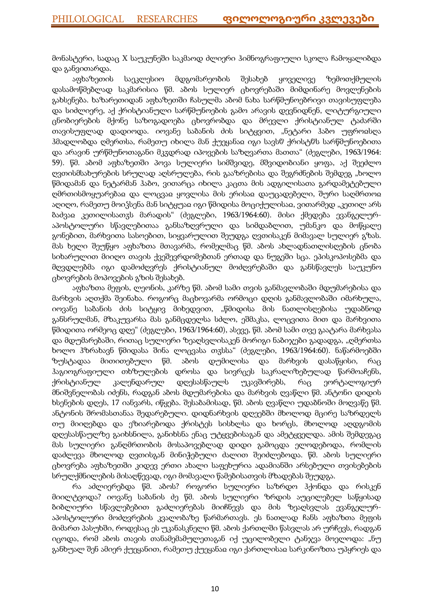მონასტერი, სადაც X საუკუნეში საკმაოდ ძლიერი ჰიმნოგრაფიული სკოლა ჩამოყალიბდა და განვითარდა.

აფხაზეთის საეკლესიო მდგომარეობის შესახებ ყოველივე ზემოთქმულის დასამოწმებლად საკმარისია წმ. აბოს სულიერ ცხოვრებაში მიმდინარე მოვლენების გახსენება. ხაზარეთიდან აფხაზეთში ჩასულმა აბომ ნახა სარწმუნოებრივი თავისუფლება და სიძლიერე, აქ ქრისტიანული სარწმუნოების გამო არავის დევნიდნენ, ლიტურგიული ცნობიერების მქონე საზოგადოება ცხოვრობდა და მრევლი ქრისტიანულ ტაძარში თავისუფლად დადიოდა. იოვანე საბანის ძის სიტყვით, "ნეტარი ჰაბო უფროჲსღა ჰმადლობდა ღმერთსა, რამეთუ იხილა მან ქუეყანაჲ იგი სავსჱ ქრისტჱს სარწმუნოებითა და არავინ ურწმუნოთაგანი მკჳდრად იპოვების საზღვართა მათთა" (ძეგლები, 1963/1964: 59). წმ. აბომ აფხაზეთში პოვა სულიერი სიმშვიდე, მშვიდობიანი ყოფა, აქ შეეძლო ღვთისმსახურების სრულად აღსრულება, რის გააზრებისა და შეგრძნების შემდეგ "ხოლო წმიდამან და ნეტარმან ჰაბო, ვითარცა იხილა კაცთა მის ადგილისათა გარდამეტებული ღმრთისმოყუარებაჲ და ლოცვაჲ ყოვლისა მის ერისაჲ დაუცადებელი, შური საღმრთოჲ აღიღო, რამეთუ მოიჴსენა მან სიტყუაჲ იგი წმიდისა მოციქულისაჲ, ვითარმედ "კეთილ არს ბაძვაჲ კეთილისათჳს მარადის" (ძეგლები, 1963/1964:60). მისი ქმედება ევანგელურაპოსტოლური სწავლებითაა განსაზღვრული და სიმდაბლით, უმანკო და მოწყალე გონებით, მარხვითა სასოებით, სიყვარულით შეუდგა ღვთისაკენ მიმავალ სულიერ გზას. მას ხელი შეუწყო აფხაზთა მთავარმა, რომელმაც წმ. აბოს ახლადნათლისღების ცნობა სიხარულით მიიღო თავის ქვეშევრდომებთან ერთად და ნუგეში სცა. ეპისკოპოსებმა და მღვდლებმა იგი დამოძღვრეს ქრისტიანულ მოძღვრებაში და განსწავლეს საუკუნო ცხოვრების მოპოვების გზის შესახებ.

აფხაზთა მეფის, ლეონის, კარზე წმ. აბომ სამი თვის განმავლობაში მდუმარებისა და მარხვის აღთქმა შეინახა. როგორც მაცხოვარმა ორმოცი დღის განმავლობაში იმარხულა, იოვანე საბანის ძის სიტყივ მიხედვით, "წმიდისა მის ნათლისღებისა უდაბნოდ განსრულმან, მზაკუვარსა მას განმცდელსა სძლო, ეშმაკსა, ლოცვითა მით და მარხვითა წმიდითა ორმეოც დღე" (ძეგლები, 1963/1964:60), ასევე, წმ. აბომ სამი თვე გაატარა მარხვასა და მდუმარებაში, რითაც სულიერი ზეაღსვლისაკენ მორიგი ნაბიჯები გადადგა, "ღმერთსა ხოლო ჰზრახავნ წმიდასა შინა ლოცვასა თჳსსა" (ძეგლები, 1963/1964:60). ნაწარმოებში ზუსტადაა მითითებული წმ. აბოს დუმილისა და მარხვის დასაწყისი, რაც ჰაგიოგრაფიული თხზულების დროსა და სივრცეს საკრალიზებულად წარმოაჩენს, ქრისტიანულ კალენდარულ დღესასწაულს უკავშირებს, რაც ეორტალოგიურ მნიშვნელობას იძენს, რადგან აბოს მდუმარებისა და მარხვის ღვაწლი წმ. ანტონი დიდის ხსენების დღეს, 17 იანვარს, იწყება. შესაბამისად, წმ. აბოს ღვაწლი უდაბნოში მოღვაწე წმ. ანტონის შრომასთანაა შედარებული. დიდნარხვის დღეებში მხოლოდ მცირე საზრდელს თუ მიიღებდა და ეზიარებოდა ქრისტეს სისხლსა და ხორცს, მხოლოდ აღდგომის დღესასწაულზე გაიხსნილა, განიხსნა ენაც უტყვებისაგან და ამეტყველდა. ამის შემდეგაც მას სულიერი განღმრთობის მოსაპოვებლად დიდი გამოცდა ელოდებოდა, რომლის დაძლევა მხოლოდ ღვთისგან მინიჭებული ძალით შეიძლებოდა. წმ. აბოს სულიერი ცხოვრება აფხაზეთში კიდევ ერთი ახალი საფეხურია ადამიანში არსებული თვისებების სრულქმნილების მისაღწევად, იგი მომავალი წამებისათვის მზადებას შეუდგა.

რა აძლიერებდა წმ. აბოს? როგორი სულიერი საზრდო ჰქონდა და რისკენ მიილტვოდა? იოვანე საბანის ძე წმ. აბოს სულიერი ზრდის აუცილებელ საწყისად ბიბლიური სწავლებებით გაძლიერებას მიიჩნევს და მის ზეაღსვლას ევანგელურაპოსტოლური მოძღვრების კვალობაზე წარმართავს. ეს ნათლად ჩანს აფხაზთა მეფის მიმართ პასუხში, როდესაც ეს უკანასკნელი წმ. აბოს ქართლში წასვლას არ ურჩევს, რადგან იცოდა, რომ აბოს თავის თანამემამულეთაგან იქ უცილობელი ტანჯვა მოელოდა: "ნუ განხუალ შენ ამიერ ქუეყანით, რამეთუ ქუეყანაჲ იგი ქართლისაჲ სარკინოზთა უპყრიეს და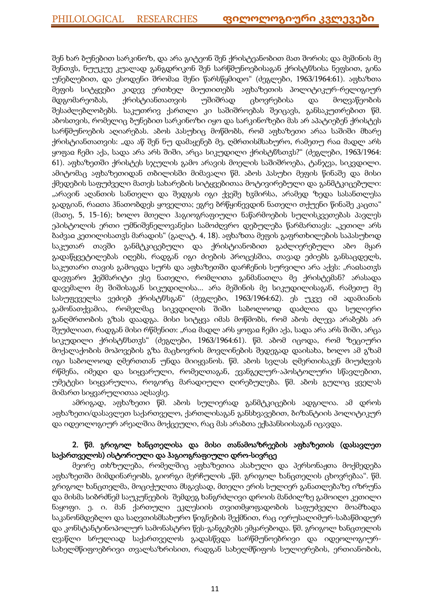შენ ხარ ბუნებით სარკინოზ, და არა გიტეონ შენ ქრისტეანობით მათ შორის; და მეშინის მე შენთჳს, ნუუკუე კუალად განგდრიკონ შენ სარწმუნოებისაგან ქრისტჱსისა ნეფსით, გინა უნებლებით, და ესოდენი შრომაჲ შენი წარსწყმიდო" (ძეგლები, 1963/1964:61). აფხაზთა მეფის სიტყვები კიდევ ერთხელ მიუთითებს აფხაზეთის პოლიტიკურ-რელიგიურ მდგომარეობას, ქრისტიანთათვის უშიშრად ცხოვრებისა და მოღვაწეობის შესაძლებლობებს. საკუთრივ ქართლი კი საშიშროებას შეიცავს, განსაკუთრებით წმ. აბოსთვის, რომელიც ბუნებით სარკინოზი იყო და სარკინოზები მას არ აპატიებენ ქრისტეს სარწმუნოების აღიარებას. აბოს პასუხიც მოწმობს, რომ აფხაზეთი არაა საშიში მხარე ქრისტიანთათვის: "და აწ შენ ნუ დამაყენებ მე, ღმრთისმსახურო, რამეთუ რაჲ მადლ არს ყოფაჲ ჩემი აქა, სადა არა არს შიში, არცა სიკუდილი ქრისტჱსთჳს?" (ძეგლები, 1963/1964: 61). აფხაზეთში ქრისტეს სჯულის გამო არავის მოელის საშიშროება, ტანჯვა, სიკვდილი. ამიტომაც აფხაზეთიდან თბილისში მიმავალი წმ. აბოს პასუხი მეფის წინაშე და მისი ქმედების საფუძველი მათეს სახარების სიტყვებითაა მოტივირებული და განმტკიცებული: "არავინ აღანთის სანთელი და შედგის იგი ქვეშე ხჳმირსა, არამედ ზედა სასანთლესა გადგიან, რაჲთა ჰნათობდეს ყოველთა; ეგრე ბრწყინევდინ ნათელი თქუენი წინაშე კაცთა" (მათე, 5, 15-16); ხოლო მთელი ჰაგიოგრაფიული ნაწარმოების სულისკვეთებას პავლეს ეპისტოლის ერთი უმნიშვნელოვანესი სამოძღვრო დებულება წარმართავს: "კეთილ არს ბაძვაჲ კეთილისათჳს მარადის" (გალატ. 4, 18). აფხაზთა მეფის გაფრთხილების საპასუხოდ საკუთარ თავში განმტკიცებული და ქრისტიანობით გაძლიერებული აბო მყარ გადაწყვეტილებას იღებს, რადგან იგი ძიების პროცესშია, თავად ეძიებს განსაცდელს, საკუთარი თავის გამოცდა სურს და აფხაზეთში დარჩენის სურვილი არა აქვს: "რაჲსათჳს დავფარო ჭეშმარიტი ესე ნათელი, რომლითა განმანათლა მე ქრისტემან? არასადა დავემალო მე შიშისაგან სიკუდილისა... არა მეშინის მე სიკუდილისაგან, რამეთუ მე სასუფეველსა ვეძიებ ქრისტჱსგან" (ძეგლები, 1963/1964:62). ეს უკვე იმ ადამიანის გამონათქვამია, რომელმაც სიკვდილის შიში საბოლოოდ დაძლია და სულიერი განღმრთობის გზას დაადგა. მისი სიტყვა იმას მოწმობს, რომ აბოს ძლევა არაბებს არ შეუძლიათ, რადგან მისი რწმენით: "რაჲ მადლ არს ყოფაჲ ჩემი აქა, სადა არა არს შიში, არცა სიკუდილი ქრისტჱსთჳს" (ძეგლები, 1963/1964:61). წმ. აბომ იცოდა, რომ ზეციური მოქალაქობის მოპოვების გზა მაცხოვრის მოვლინების შედეგად დაისახა, ხოლო ამ გზამ იგი საბოლოოდ ღმერთთან უნდა მიიყვანოს. წმ. აბოს სვლას ღმერთისაკენ მიუძღვის რწმენა, იმედი და სიყვარული, რომელთაგან, ევანგელურ-აპოსტოლური სწავლებით, უმეტესი სიყვარულია, როგორც მარადიული ღირებულება. წმ. აბოს გულიც ყველას მიმართ სიყვარულითაა აღსავსე.

ამრიგად, აფხაზეთი წმ. აბოს სულიერად განმტკიცების ადგილია. ამ დროს აფხაზეთი/დასავლეთ საქართველო, ქართლისაგან განსხვავებით, ბიზანტიის პოლიტიკურ და იდეოლოგიურ არეალშია მოქცეული, რაც მას არაბთა ექსპანსიისაგან იცავდა.

# 2. წმ. გრიგოლ ხანცთელისა და მისი თანამოაზრეების აფხაზეთის (დასავლეთ საქართველოს) ისტორიული და ჰაგიოგრაფიული დრო-სივრცე

მეორე თხზულება, რომელშიც აფხაზეთია ასახული და პერსონაჟთა მოქმედება აფხაზეთში მიმდინარეობს, გიორგი მერჩულის "წმ. გრიგოლ ხანცთელის ცხოვრებაა". წმ. გრიგოლ ხანცთელმა, მოციქულთა მსგავსად, მთელი ერის სულიერ განათლებაზე იზრუნა და მისმა სიბრძნემ საუკუნეების შემდეგ ხანგრძლივი დროის მანძილზე გამოიღო კეთილი ნაყოფი. ე. ი. მან ქართული ეკლესიის თვითმყოფადობის საფუძველი მოამზადა საკანონმდებლო და საღვთისმსახურო წიგნების შექმნით, რაც იერუსალიმურ-საბაწმიდურ და კონსტანტინოპოლურ სამონასტრო წეს-განგებებს ემყარებოდა. წმ. გრიგოლ ხანცთელის ღვაწლი სრულიად საქართველოს გადასწვდა სარწმუნოებრივი და იდეოლოგიურსახელმწიფოებრივი თვალსაზრისით, რადგან სახელმწიფოს სულიერების, ერთიანობის,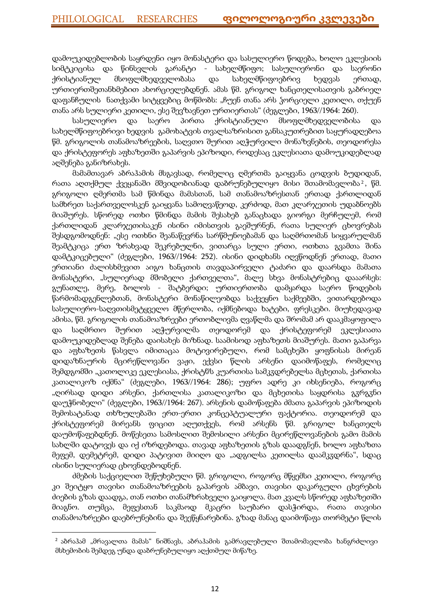დამოუკიდებლობის საყრდენი იყო მონასტერი და სასულიერო წოდება, ხოლო ეკლესიის სიმტკიცისა და წინსვლის გარანტი - სახელმწიფო; სასულიერონი და საერონი ქრისტიანულ მსოფლმხედველობასა და სახელმწიფოებრივ ხედვას ერთად, ურთიერთშეთანხმებით ახორციელებდნენ. ამას წმ. გრიგოლ ხანცთელისათვის გაბრიელ დაფანჩულის ნათქვამი სიტყვებიც მოწმობს: "ჩუენ თანა არს ჴორციელი კეთილი, თქუენ თანა არს სულიერი კეთილი, ესე შევზავნეთ ურთიერთას" (ძეგლები, 1963//1964: 260).

სასულიერო და საერო პირთა ქრისტიანული მსოფლმხედველობისა და სახელმწიფოებრივი ხედვის გამოხატვის თვალსაზრისით განსაკუთრებით საყურადღებოა წმ. გრიგოლის თანამოაზრეების, საღვთო შურით აღჭურვილი მონაზვნების, თეოდორესა და ქრისტეფორეს აფხაზეთში გაპარვის ეპიზოდი, როდესაც ეკლესიათა დამოუკიდებლად აღშენება განიზრახეს.

მამამთავარ აბრაჰამის მსგავსად, რომელიც ღმერთმა გაიყვანა ცოდვის ბუდიდან, რათა აღთქმულ ქვეყანაში მშვიდობიანად დაბრუნებულიყო მისი შთამომავლობა $^{\text{2}}$ , წმ. გრიგოლი ღმერთმა სამ წმინდა მამასთან, სამ თანამოაზრესთან ერთად ქართლიდან სამხრეთ საქართველოსკენ გაიყვანა სამოღვაწეოდ, კერძოდ, მათ კლარჯეთის უდაბნოებს მიაშურეს. სწორედ ოთხი წმინდა მამის შესახებ განაცხადა გიორგი მერჩულემ, რომ ქართლიდან კლარჯეთისაკენ ისინი იმისთვის გაეშურნენ, რათა სულიერ ცხოვრებას შესდგომოდნენ: "ესე ოთხნი შეანაწევრნა სარწმუნოებამან და საღმრთომან სიყვარულმან შეამტკიცა ერთ ზრახვად შეკრებულნი, ვითარცა სული ერთი, ოთხთა გვამთა შინა დამტკიცებული" (ძეგლები, 1963//1964: 252). ისინი დიდხანს იღვწოდნენ ერთად, მათი ერთიანი ძალისხმევით აიგო ხანცთის თავდაპირველი ტაძარი და დაარსდა მამათა მონასტერი, "სულიერად მშობელი ქართველთა", მალე სხვა მონასტრებიც დააარსეს: გუნათლე, მერე, ბოლოს - შატბერდი; ურთიერთობა დამყარდა საერო წოდების წარმომადგენლებთან, მონასტერი მონაწილეობდა საქვეყნო საქმეებში, ვითარდებოდა სასულიერო-საღვთისმეტყველო მწერლობა, იქმნებოდა ხატები, ფრესკები. მიუხედავად ამისა, წმ. გრიგოლის თანამოაზრეები ერთობლივმა ღვაწლმა და შრომამ არ დააკმაყოფილა და საღმრთო შურით აღჭურვილმა თეოდორემ და ქრისტეფორემ ეკლესიათა დამოუკიდებლად შენება დაისახეს მიზნად. საამისოდ აფხაზეთს მიაშურეს. მათი გაპარვა და აფხაზეთს წასვლა იმითაცაა მოტივირებული, რომ სამცხეში ყოფნისას მირეან დიდაზნაურის მცირეწლოვანი ვაჟი, ექვსი წლის არსენი დაიმოწაფეს, რომელიც შემდგომში "კათოლიკე ეკლესიასა, ქრისტჱს კუართისა სამკჳდრებელსა მცხეთას, ქართისა კათალიკოზ იქმნა" (ძეგლები, 1963//1964: 286); უფრო ადრე კი იხსენიება, როგორც "ღირსად დიდი არსენი, ქართლისა კათალიკოზი და მცხეთისა საყდრისა გჳრგჳნი დაუჭნობელი" (ძეგლები, 1963//1964: 267). არსენის დამოწაფება ძმათა გაპარვის ეპიზოდის შემოსატანად თხზულებაში ერთ-ერთი კონცეპტუალური ფაქტორია. თეოდორემ და ქრისტეფორემ მირეანს ფიცით აღუთქვეს, რომ არსენს წმ. გრიგოლ ხანცთელს დაუმოწაფებდნენ. მოწესეთა სამოსლით შემოსილი არსენი მცირეწლოვანების გამო მამის სახლში დატოვეს და იქ იზრდებოდა. თავად აფხაზეთის გზას დაადგნენ, ხოლო აფხაზთა მეფემ, დემეტრემ, დიდი პატივით მიიღო და "ადგილსა კეთილსა დაამკჳდრნა", სდაც ისინი სულიერად ცხოვნდებოდნენ.

ძმების საქციელით შეწუხებული წმ. გრიგოლი, როგორც მწყემსი კეთილი, როგორც კი შეიტყო თავისი თანამოაზრეების გაპარვის ამბავი, თავისი დაკარგული ცხვრების ძიების გზას დაადგა, თან ოთხი თანამზრახველი გაიყოლა. მათ კვალს სწორედ აფხაზეთში მიაგნო. თუმცა, მეფესთან საკმაოდ მკაცრი საუბარი დასჭირდა, რათა თავისი თანამოაზრეები დაებრუნებინა და შეეწყნარებინა. გზად მანაც დაიმოწაფა თორმეტი წლის

-

<sup>&</sup>lt;sup>2</sup> აბრაჰამ "მრავალთა მამას" ნიშნავს, აბრაჰამის გამრავლებული შთამომავლობა ხანგრძლივი მსხემობის შემდეგ უნდა დაბრუნებულიყო აღქთმულ მიწაზე.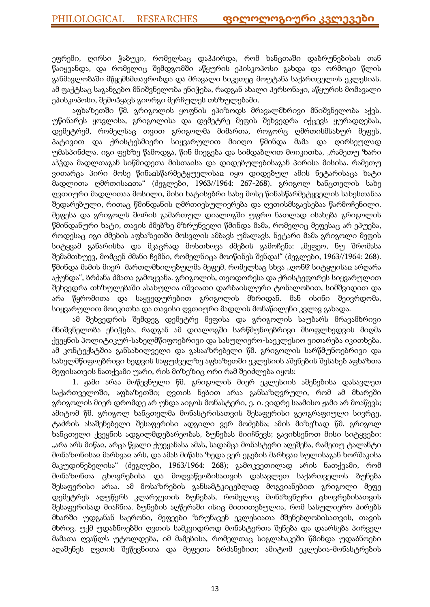ეფრემი, ღირსი ჭაბუკი, რომელსაც დაჰპირდა, რომ ხანცთაში დაბრუნებისას თან წაიყვანდა, და რომელიც შემდგომში აწყურის ეპისკოპოსი გახდა და ორმოცი წლის განმავლობაში მწყემსმთავრობდა და მრავალი სიკეთეც მოუტანა საქართველოს ეკლესიას. ამ ფაქტსაც საგანგებო მნიშვნელობა ენიჭება, რადგან ახალი პერსონაჟი, აწყურის მომავალი ეპისკოპოსი, შემოჰყავს გიორგი მერჩულეს თხზულებაში.

აფხაზეთში წმ. გრიგოლის ყოფნის ეპიზოდს მრავალმხრივი მნიშვნელობა აქვს. უწინარეს ყოვლისა, გრიგოლისა და დემეტრე მეფის შეხვედრა იქცევს ყურადღებას, დემეტრემ, რომელსაც თვით გრიგოლმა მიმართა, როგორც ღმრთისმსახურ მეფეს, პატივით და ქრისტესმიერი სიყვარულით მიიღო წმინდა მამა და ღირსეულად უმასპინძლა. იგი ფეხზე წამოდგა, წინ მიეგება და სიმდაბლით მოიკითხა, "რამეთუ ზარი აჰჴდა მადლთაგან სიწმიდეთა მისთაჲსა და დიდებულებისაგან პირისა მისისა. რამეთუ ვითარცა პირი მოსე წინაჲსწარმეტყუელისაჲ იყო დიდებულ ამის ნეტარისაცა ხატი მადლითა ღმრთისაჲთა" (ძეგლები, 1963//1964: 267-268). გრიგოლ ხანცთელის სახე ღვთიური მადლითაა მოსილი, მისი ხატისებრი სახე მოსე წინასწარმეტყველის სახესთანაა შედარებული, რითაც წმინდანის ღმრთივსულიერება და ღვთისმსგავსებაა წარმოჩენილი. მეფესა და გრიგოლს შორის გამართულ დიალოგში უფრო ნათლად ისახება გრიგოლის წმინდანური ხატი, თავის ძმებზე მზრუნველი წმინდა მამა, რომელიც მეფესაც არ ეპუება, როდესაც იგი ძმების აფხაზეთში მოსვლის ამბავს უმალავს. ნეტარი მამა გრიგოლი მეფის სიტყვამ განარისხა და მკაცრად მოსთხოვა ძმების გამოჩენა: "მეფეო, ნუ შრომასა შემამთხუევ, მომცენ ძმანი ჩემნი, რომელნიცა მოიწინეს შენდა!" (ძეგლები, 1963//1964: 268). წმინდა მამის მიერ მართლმხილებულმა მეფემ, რომელსაც სხვა "ღონჱ სიტყუისაჲ არღარა აქუნდა", ბრძანა ძმათა გამოყვანა. გრიგოლის, თეოდორესა და ქრისტეფორეს სიყვარულით შეხვედრა თხზულებაში ასახულია იშვიათი დარბაისლური ტონალობით, სიმშვიდით და არა წყრომითა და საყვედურებით გრიგოლის მხრიდან. მან ისინი შეივრდომა, სიყვარულით მოიკითხა და თავისი ღვთიური მადლის მონაწილენი კვლავ გახადა.

ამ შეხვედრის შემდეგ დემეტრე მეფისა და გრიგოლის საუბარს მრავამხრივი მნიშვნელობა ენიჭება, რადგან ამ დიალოგში სარწმუნოებრივი მსოფლხედვის მიღმა ქვეყნის პოლიტიკურ-სახელმწიფოებრივი და სასულიერო-საეკლესიო ვითარება იკითხება. ამ კონტექსტშია განსახილველი და გასააზრებელი წმ. გრიგოლის სარწმუნოებრივი და სახელმწიფოებრივი ხედვის საფუძველზე აფხაზეთში ეკლესიის აშენების შესახებ აფხაზთა მეფისათვის ნათქვამი უარი, რის მიზეზიც ორი რამ შეიძლება იყოს:

1. ჟამი არაა მოწევნული წმ. გრიგოლის მიერ ეკლესიის აშენებისა დასავლეთ საქართველოში, აფხაზეთში; ღვთის ნებით არაა განსაზღვრული, რომ ამ მხარეში გრიგოლის მიერ დრომდე არ უნდა აიგოს მონასტერი, ე. ი. ვიდრე საამისო ჟამი არ მოაწევს; ამიტომ წმ. გრიგოლ ხანცთელმა მონასტრისათვის შესაფერისი გეოგრაფიული სივრცე, ტაძრის ასაშენებელი შესაფერისი ადგილი ვერ მოძებნა; ამის მიზეზად წმ. გრიგოლ ხანცთელი ქვეყნის ადგილმდებარეობას, ბუნებას მიიჩნევს; გავიხსენოთ მისი სიტყვები: "არა არს მიწაჲ, არცა წყალი ქუეყანასა ამას, სადამცა მონასტერი აღეშენა, რამეთუ ტალანტი მონაზონისაჲ მარხვაჲ არს, და ამას მიწასა ზედა ვერ ეგების მარხვაჲ სულისაგან ხორშაკისა მაკუდინებელისა" (ძეგლები, 1963/1964: 268); გამოკვეთილად არის ნათქვამი, რომ მონაზონთა ცხოვრებისა და მოღვაწეობისათვის დასავლეთ საქართველოს ბუნება შესაფერისი არაა. ამ მოსაზრების განსამტკიცებლად მოგვიანებით გრიგოლი მეფე დემეტრეს აღუწერს კლარჯეთის ბუნებას, რომელიც მონაზვნური ცხოვრებისათვის შესაფერისად მიაჩნია. ბუნების აღწერაში ისიც მითითებულია, რომ სასულიერო პირებს მხარში უდგანან საერონი, მეფეები ზრუნავენ ეკლესიათა მშენებლობისათვის, თავის მხრივ, უქმ უდაბნოებში ღვთის სამკვიდროდ მონასტერთა შენება და დაარსება პირველ მამათა ღვაწლს უტოლდება, იმ მამებისა, რომელთაც სიგლახაკეში წმინდა უდაბნოები აღაშენეს ღვთის შეწევნითა და მეფეთა ბრძანებით; ამიტომ ეკლესია-მონასტრების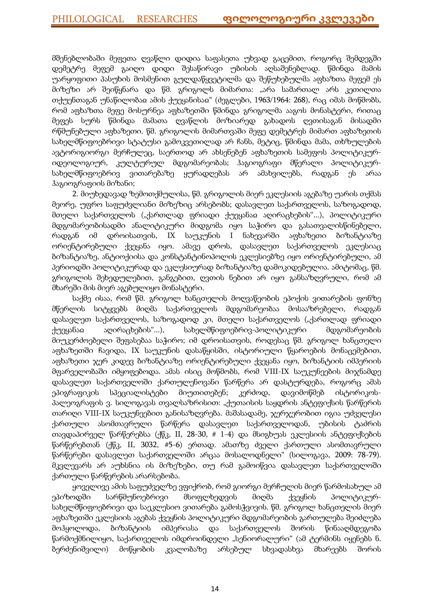მშენებლობაში მეფეთა ღვაწლი დიდია საფასეთა უხვად გაცემით, როგორც შემდეგში დემეტრე მეფემ გაიღო დიდი შესაწირავი უბისის აღსაშენებლად. წმინდა მამის უარყოფითი პასუხის მოსმენით გულდაწყვეტილმა და შეწუხებულმა აფხაზთა მეფემ ეს მიზეზი არ შეიწყნარა და წმ. გრიგოლს მიმართა: "არა სამართალ არს კეთილთა თქუენთაგან უნაწილობაჲ ამის ქუეყანისაჲ" (ძეგლები, 1963/1964: 268), რაც იმას მოწმობს, რომ აფხაზთა მეფე მოსურნეა აფხაზეთში წმინდა გრიგოლმა ააგოს მონასტერი, რითაც მეფეს სურს წმინდა მამათა ღვაწლის მოზიარედ გახადოს ღვთისაგან მისადმი რწმუნებული აფხაზეთი. წმ. გრიგოლის მიმართვაში მეფე დემეტრეს მიმართ აფხაზეთის სახელმწიფოებრივი სტატუსი გამოკვეთილად არ ჩანს, მეტიც, წმინდა მამა, თხზულების ავტორიგიორგი მერჩულეც, საერთოდ არ ახსენებენ აფხაზეთის სამეფოს პოლიტიკურიდეოლოგიურ, კულტურულ მდგომარეობას; ჰაგიოგრაფი მწერალი პოლიტიკურსახელმწიფოებრივ ვითარებაზე ყურადღებას არ ამახვილებს, რადგან ეს არაა ჰაგიოგრაფიის მიზანი;

2. მიუხედავად ზემოთქმულისა, წმ. გრიგოლის მიერ ეკლესიის აგებაზე უარის თქმას მეორე, უფრო საფუძვლიანი მიზეზიც არსებობს; დასავლეთ საქართველოს, საზოგადოდ, მთელი საქართველოს ("ქართლად ფრიადი ქუეყანაჲ აღირაცხების"...), პოლიტიკური მდგომარეობისადმი ანალიტიკური მიდგომა იყო საჭირო და გასათვალისწინებელი, რადგან იმ დროისათვის, IX საუკუნის I ნახევარში აფხაზეთი ბიზანტიაზე ორიენტირებული ქვეყანა იყო. ამავე დროს, დასავლეთ საქართველოს ეკლესიაც ბიზანტიაზე, ანტიოქიისა და კონსტანტინოპოლის ეკლესიებზე იყო ორიენტირებული, ამ პერიოდში პოლიტიკურად და ეკლესიურად ბიზანტიაზე დამოკიდებულია. ამიტომაც, წმ. გრიგოლის შეხედულებით, განგებით, ღვთის ნებით არ იყო განსაზღვრული, რომ ამ მხარეში მის მიერ აგებულიყო მონასტერი.

საქმე ისაა, რომ წმ. გრიგოლ ხანცთელის მოღვაწეობის ეპოქის ვითარების ფონზე მწერლის სიტყვებს მიღმა საქართველოს მდგომარეობაა მოსააზრებელი, რადგან დასავლეთ საქართველოს, საზოგადოდ კი, მთელი საქართველოს ("ქართლად ფრიადი ქუეყანაჲ აღირაცხების"...), სახელმწიფოებრივ-პოლიტიკური მდგომარეობის მიუკერძოებელი შეფასებაა საჭირო; იმ დროისათვის, როდესაც წმ. გრიგოლ ხანცთელი აფხაზეთში ჩავიდა, IX საუკუნის დასაწყისში, ისტორიული წყაროების მონაცემებით, აფხაზეთი ჯერ კიდევ ბიზანტიაზე ორიენტირებული ქვეყანა იყო, ბიზანტიის იმპერიის მფარველობაში იმყოფებოდა. ამას ისიც მოწმობს, რომ VIII-IX საუკუნეების მიჯნამდე დასავლეთ საქართველოში ქართულენოვანი წარწერა არ დასტურდება, როგორც ამას ეპიგრაფიკის სპეციალისტები მიუთითებენ; კერძოდ, დავიმოწმებ ისტორიკოსპალეოგრაფის ვ. სილოგავას თვალსაზრისით: "ქუთაისის საყდრის ანტეფიქსის წარწერის თარიღი VIII-IX საუკუნეებით განისაზღვრება. მაშასადამე, ჯერჯერობით იგია უძველესი ქართული ასომთავრული წარწერა დასავლეთ საქართველოდან, უბისის ტაძრის თავდაპირველ წარწერებსა (ქწკ, II, 28-30, # 1-4) და მსიგხუას ეკლესიის ანტეფიქსების წარწერებთან (ქწკ, II, 3032, #5-6) ერთად. ამათზე ძველი ქართული ასომთავრული წარწერები დასავლეთ საქართველოში არცაა მოსალოდნელი" (სილოგავა, 2009: 78-79). მკვლევარს არ აუხსნია ის მიზეზები, თუ რამ გამოიწვია დასავლეთ საქართველოში ქართული წარწერების არარსებობა.

ყოველივე ამის საფუძველზე ვფიქრობ, რომ გიორგი მერჩულის მიერ წარმოსახულ ამ ეპიზოდში სარწმუნოებრივი მსოფლხედვის მიღმა ქვეყნის პოლიტიკურსახელმწიფოებრივი და საეკლესიო ვითარება გამოსჭვივის. წმ. გრიგოლ ხანცთელის მიერ აფხაზეთში ეკლესიის აგებას ქვეყნის პოლიტიკური მდგომარეობის გართულება შეიძლება მოჰყოლოდა, ბიზანტიის იმპერიასა და საქართველოს შორის წინააღმდეგობა წარმოქმნილიყო, საქართველოს იმდროინდელი "სენიორალური" (ამ ტერმინს იყენებს ნ. ბერძენიშვილი) მოწყობის კვალობაზე არსებულ სხვადასხვა მხარეებს შორის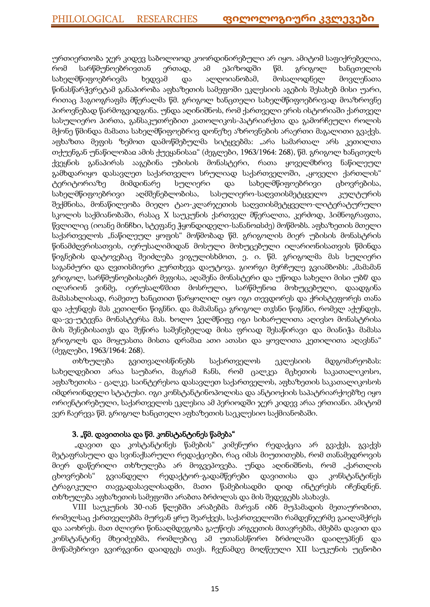ურთიერთობა ჯერ კიდევ საბოლოოდ კოორდინირებული არ იყო. ამიტომ საფიქრებელია, რომ სარწმუნოებრივთან ერთად, ამ ეპიზოდში წმ. გრიგოლ ხანცთელის სახელმწიფოებრივმა ხედვამ და ალღოიანობამ, მოსალოდნელ მოვლენათა წინასწარჭვრეტამ განაპირობა აფხაზეთის სამეფოში ეკლესიის აგების შესახებ მისი უარი, რითაც ჰაგიოგრაფმა მწერალმა წმ. გრიგოლ ხანცთელი სახელმწიფოებრივად მოაზროვნე პიროვნებად წარმოგვიდგინა. უნდა აღინიშნოს, რომ ქართველი ერის ისტორიაში ქართველ სასულიერო პირთა, განსაკუთრებით კათოლიკოს-პატრიარქთა და გამორჩეული როლის მქონე წმინდა მამათა სახელმწიფოებრივ დონეზე აზროვნების არაერთი მაგალითი გვაქვს. აფხაზთა მეფის ზემოთ დამოწმებულმა სიტყვებმა: "არა სამართალ არს კეთილთა თქუენგან უნაწილობაჲ ამის ქუეყანისაჲ" (ძეგლები, 1963/1964: 268), წმ. გრიგოლ ხანცთელს ქვეყნის განაპირას ააგებინა უბისის მონასტერი, რათა ყოველმხრივ ნაწილეულ გამხდარიყო დასავლეთ საქართველო სრულიად საქართველოში, "ყოველი ქართლის" ტერიტორიაზე მიმდინარე სულიერი და სახელმწიფოებრივი ცხოვრებისა, სახელმწიფოებრივი აღმშენებლობისა, სასულიერო-საღვთისმეტყველო კულტურის შექმნისა, მონაწილეობა მიეღო ტაო-კლარჯეთის საღვთისმეტყველო-ლიტერატურული სკოლის საქმიანობაში, რასაც X საუკუნის ქართველ მწერალთა, კერძოდ, ჰიმნოგრაფთა, წვლილიც (იოანე მინჩხი, სტეფანე ჭყონდიდელი-სანანოჲსძე) მოწმობს. აფხაზეთის მთელი საქართველოს "ნაწილეულ ყოფის" მოწმობად წმ. გრიგოლის მიერ უბისის მონასტრის წინამძღვრისათვის, იერუსალიმიდან მოსული მოხუცებული ილარიონისათვის წმინდა წიგნების დატოვებაც შეიძლება ვიგულისხმოთ, ე. ი. წმ. გრიგოლმა მას სულიერი საგანძური და ღვთისმიერი კურთხევა დაუტოვა. გიორგი მერჩულე გვიამბობს: "მამამან გრიგოლ, სარწმუნოებისაებრ მეფისა, აღაშენა მონასტერი და უწოდა სახელი მისი უბჱ და ილარიონ ვინმე, იერუსალჱმით მოსრული, სარწმუნოჲ მოხუცებული, დაადგინა მამასახლისად, რამეთუ ხანცთით წარყოლილ იყო იგი თევდორეს და ქრისტეფორეს თანა და აქუნდეს მას კეთილნი წიგნნი. და მამამანცა გრიგოლ თჳსნი წიგნნი, რომელ აქუნდეს, და-ვე-უტევნა მონასტერსა მას. ხოლო ჴელმწიფე იგი სიხარულითა აღივსო მონასტრისა მის შენებისათჳს და შეწირა საშენებელად მისა ფრიად შესაწირავი და მიანიჭა მამასა გრიგოლს და მოყუასთა მისთა დრამაჲ ათი ათასი და ყოვლითა კეთილითა აღავსნა" (ძეგლები, 1963/1964: 268).

თხზულება გვითვალისწინებს საქართველოს ეკლესიის მდგომარეობას: სახელდებით არაა საუბარი, მაგრამ ჩანს, რომ ცალკეა მცხეთის საკათალიკოსო, აფხაზეთისა - ცალკე. საინტერესოა დასავლეთ საქართველოს, აფხაზეთის საკათალიკოსოს იმდროინდელი სტატუსი. იგი კონსტანტინოპოლისა და ანტიოქიის საპატრიარქოებზე იყო ორიენტირებული, საქართველოს ეკლესია ამ პერიოდში ჯერ კიდევ არაა ერთიანი. ამიტომ ვერ ჩაერევა წმ. გრიგოლ ხანცთელი აფხაზეთის საეკლესიო საქმიანობაში.

# 3. "წმ. დავითისა და წმ. კონსტანტინეს წამება"

 "დავით და კოსტანტინეს წამების" კიმენური რედაქცია არ გვაქვს, გვაქვს მეტაფრასული და სვინაქსარული რედაქციები, რაც იმას მიუთითებს, რომ თანამედროვის მიერ დაწერილი თხზულება არ მოგვეპოვება. უნდა აღინიშნოს, რომ "ქართლის ცხოვრების" გვიანდელი რედაქტორ-გადამწერები დავითისა და კონსტანტინეს ტრაგიკული თავგადასავლისადმი, მათი წამებისადმი დიდ ინტერესს იჩენდნენ. თხზულება აფხაზეთის სამეფოში არაბთა ბრძოლას და მის შედეგებს ასახავს.

VIII საუკუნის 30-იან წლებში არაბებმა მარვან იბნ მუჰამადის მეთაურობით, რომელსაც ქართველებმა მურვან ყრუ შეარქვეს, საქართველოში რამდენჯერმე გაილაშქრეს და ააოხრეს. მათ ძლიერი წინააღმდეგობა გაუწიეს არგვეთის მთავრებმა, ძმებმა დავით და კონსტანტინე მხეიძეებმა, რომლებიც ამ უთანასწორო ბრძოლაში დაიღუპნენ და მოწამებრივი გვირგვინი დაიდგეს თავს. ჩვენამდე მოღწეული XII საუკუნის უცნობი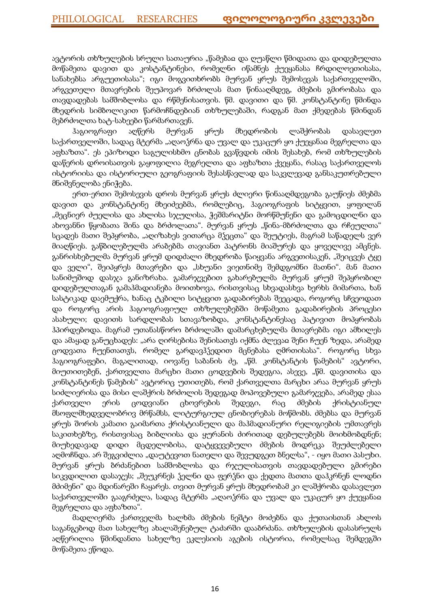ავტორის თხზულების სრული სათაურია "წამებაჲ და ღუაწლი წმიდათა და დიდებულთა მოწამეთა დავით და კოსტანტინესი, რომელნი იწამნეს ქუეყანასა ჩრდილოეთისასა, სანახებსა არგუეთისასა"; იგი მოგვითხრობს მურვან ყრუს შემოსევას საქართველოში, არგვეთელი მთავრების შეუპოვარ ბრძოლას მათ წინააღმდეგ, ძმების გმირობასა და თავდადებას სამშობლოსა და რწმენისათვის. წმ. დავითი და წმ. კონსტანტინე წმინდა მხედრის სიმბოლიკით წარმოჩნდებიან თხზულებაში, რადგან მათ ქმედებას წმინდან მებრძოლთა ხატ-სახეები წარმართავენ.

ჰაგიოგრაფი აღწერს მურვან ყრუს მხედრობის ლაშქრობას დასავლეთ საქართველოში, სადაც მტერმა "აღაოჴრნა და უვალ და უკაცურ ყო ქუეყანაჲ მეგრელთა და აფხაზთა". ეს ეპიზოდი საგულისხმო ცნობას გვაწვდის იმის შესახებ, რომ თხზულების დაწერის დროისათვის გაყოფილია მეგრელთა და აფხაზთა ქვეყანა, რასაც საქართველოს ისტორიისა და ისტორიული გეოგრაფიის შესასწავლად და საკვლევად განსაკუთრებული მნიშვნელობა ენიჭება.

ერთ-ერთი შემოსევის დროს მურვან ყრუს ძლიერი წინააღმდეგობა გაუწიეს ძმებმა დავით და კონსტანტინე მხეიძეებმა, რომლებიც, ჰაგიოგრაფის სიტყვით, ყოფილან "მეცნიერ ძუელისა და ახლისა სჯულისა, ჭეშმარიტნი მორწმუნენი და გამოცდილნი და ახოვანნი წყობათა შინა და ბრძოლათა". მურვან ყრუს "წინა-მბრძოლთა და რჩეულთა" სცადეს მათი შეპყრობა, "აღიზახეს ვითარცა მჴეცთა" და შეუტიეს, მაგრამ საწადელს ვერ მიაღწიეს. გაწბილებულმა არაბებმა თავიანთ პატრონს მიაშურეს და ყოველივე ამცნეს. განრისხებულმა მურვან ყრუმ დიდძალი მხედრობა წაიყვანა არგვეთისაკენ, "შეიცვეს ტყე და ველი", შეიპყრეს მთავრები და "სხუანი ვიეთნიმე შემდგომნი მათნი". მან მათი სანიმუშოდ დასჯა განიზრახა. გამარჯვებით გახარებულმა მურვან ყრუმ შეპყრობილ დიდებულთაგან გამაჰმადიანება მოითხოვა, რისთვისაც სხვადასხვა ხერხს მიმართა, ხან სასტიკად დაემუქრა, ხანაც ტკბილი სიტყვით გადაბირებას შეეცადა, როგორც სჩვეოდათ და როგორც არის ჰაგიოგრაფიულ თხზულებებში მოწამეთა გადაბირების პროცესი ასახული; დავითს სარდლობას სთავაზობდა, კონსტანტინესაც პატივით მოპყრობას ჰპირდებოდა. მაგრამ უთანასწორო ბრძოლაში დამარცხებულმა მთავრებმა იგი ამხილეს და ამაყად განუცხადეს: "არა ღირსებისა შენისათჳს იქმნა ძლევაჲ შენი ჩუენ ზედა, არამედ ცოდვათა ჩუენთათჳს, რომელ გარდავჰჴედით მცნებასა ღმრთისასა". როგორც სხვა ჰაგიოგრაფები, მაგალითად, იოვანე საბანის ძე, "წმ. კონსტანტის წამების" ავტორი, მიუთითებენ, ქართველთა მარცხი მათი ცოდვების შედეგია, ასევე, "წმ. დავითისა და კონსტანტინეს წამების" ავტორიც უთითებს, რომ ქართველთა მარცხი არაა მურვან ყრუს სიძლიერისა და მისი ლაშქრის ბრძოლის შედეგად მოპოვებული გამარჯვება, არამედ ესაა ქართველი ერის ცოდვიანი ცხოვრების შედეგი, რაც ძმების ქრისტიანულ მსოფლმხედველობრივ მრწამსს, ლიტურგიულ ცნობიერებას მოწმობს. ძმებსა და მურვან ყრუს შორის კამათი გაიმართა ქრისტიანული და მაჰმადიანური რელიგიების უმთავრეს საკითხებზე, რისთვისაც ბიბლიისა და ყურანის ძირითად დებულებებს მოიხმობდნენ; მიუხედავად დიდი მცდელობისა, დატყვევებული ძმების მოდრეკა შეუძლებელი აღმოჩნდა. არ შეგვიძლია "დაუტევოთ ნათელი და შევუდგეთ ბნელსა", - იყო მათი პასუხი. მურვან ყრუს ბრძანებით სამშობლოსა და რჯულისათვის თავდადებული გმირები სიკვდილით დასაჯეს; "შეუკრნეს ჴელნი და ფერჴნი და ქედთა მათთა დაჰკრნენ ლოდნი მძიმენი" და მდინარეში ჩაყარეს. თვით მურვან ყრუს მხედრობამ კი ლაშქრობა დასავლეთ საქართველოში გააგრძელა, სადაც მტერმა "აღაოჴრნა და უვალ და უკაცურ ყო ქუეყანაჲ მეგრელთა და აფხაზთა".

მადლიერმა ქართველმა ხალხმა ძმების ნეშტი მოძებნა და ქუთაისთან ახლოს საგანგებოდ მათ სახელზე ახალაშენებულ ტაძარში დააბრძანა. თხზულების დასასრულს აღწერილია წმინდანთა სახელზე ეკლესიის აგების ისტორია, რომელსაც შემდეგში მოწამეთა ეწოდა.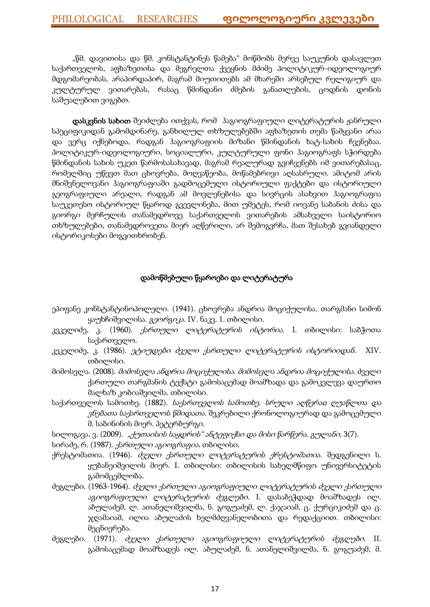"წმ. დავითისა და წმ. კონსტანტინეს წამება" მოწმობს მერვე საუკუნის დასავლეთ საქართველოს, აფხაზეთისა და მეგრელთა ქვეყნის მძიმე პოლიტიკურ-იდეოლოგიურ მდგომარეობას, არაპირდაპირ, მაგრამ მიუთითებს ამ მხარეში არსებულ რელიგიურ და კულტურულ ვითარებას, რასაც წმინდანი ძმების განათლების, ცოდნის დონის საშუალებით ვიგებთ.

დასკვნის სახით შეიძლება ითქვას, რომ ჰაგიოგრაფიული ლიტერატურის ჟანრული სპეციფიკიდან გამომდინარე, განხილულ თხზულებებში აფხაზეთის თემა წამყვანი არაა და ვერც იქნებოდა, რადგან ჰაგიოგრაფიის მიზანი წმინდანის ხატ-სახის ჩვენებაა. პოლიტიკურ-იდეოლოგიური, სოციალური, კულტურული ფონი ჰაგიოგრაფს სჭირდება წმინდანის სახის უკეთ წარმოსასახავად, მაგრამ რეალურად გვიჩვენებს იმ ვითარებასაც, რომელშიც უწევთ მათ ცხოვრება, მოღვაწეობა, მოწამებრივი აღსასრული. ამიტომ არის მნიშვნელოვანი ჰაგიოგრაფიაში გადმოცემული ისტორიული ფაქტები და ისტორიული გეოგრაფიული არეალი, რადგან ამ მოვლენებისა და სივრცის ასახვით ჰაგიოგრაფია საუკეთესო ისტორიულ წყაროდ გვევლინება, მით უმეტეს, რომ იოვანე საბანის ძისა და გიორგი მერჩულის თანამედროვე საქართველოს ვითარების ამსახველი საისტორიო თხზულებები, თანამედროვეთა მიერ აღწერილი, არ შემოგვრჩა, მათ შესახებ გვიანდელი ისტორიკოსები მოგვითხრობენ.

# დამოწმებული წყაროები და ლიტერატურა

- ეპიფანე კონსტანტინოპოლელი. (1941). ცხოვრება ანდრია მოციქულისა. თარგმანი სიმონ ყაუხჩიშვილისა. გეორგიკა. IV. ნაკვ. 1. თბილისი.
- კეკელიძე, კ. (1960). *ქართული ლიტერატურის ისტორია*. I. თბილისი: საბჭოთა საქართველო.
- კეკელიძე, კ. (1986). *ეტიუდები ძველი ქართული ლიტერატურის ისტორიიდან.* XIV. თბილისი.
- მიმოსვლა. (2008). მიმოსვლა ანდრია მოციქულისა. მიმოსვლა ანდრია მოციქულისა. ძველი ქართული თარგმანის ტექსტი გამოსაცემად მოამზადა და გამოკვლევა დაურთო მალხაზ კობიაშვილმა. თბილისი.
- საქართველოს სამოთხე. (1882). საქართველოს სამოთხე. სრული აღწერაჲ ღუაწლთა და ვნებათა საქართველოს წმიდათა. შეკრებილი ქრონოლოგიურად და გამოცემული მ. საბინინის მიერ. პეტერბურგი.
- სილოგავა, ვ. (2009). "ქუთაისის საყდრის" ანტეფიქსი და მისი წარწერა. გულანი. 3(7).
- სირაძე, რ. (1987). ქართული აგიოგრაფია. თბილისი.
- ქრესტომათია. (1946). *ძველი ქართული ლიტერატურის ქრესტომათია.* შედგენილი ს. ყუბანეიშვილის მიერ. I. თბილისი: თბილისის სახელმწიფო უნივერსიტეტის გამომცემლობა.
- ძეგლები. (1963-1964). ძველი ქართული აგიოგრაფიული ლიტერატურის ძველი ქართული აგიოგრაფიული ლიტერატურის ძეგლები. I. დასაბეჭდად მოამზადეს ილ. აბულაძემ, ლ. ათანელიშვილმა, ნ. გოგუაძემ, ლ. ქაჯაიამ, ც. ქურციკიძემ და ც. ჯღამაიამ, ილია აბულაძის ხელმძღვანელობითა და რედაქციით. თბილისი: მეცნიერება.
- ძეგლები. (1971). ძველი ქართული აგიოგრაფიული ლიტერატურის ძეგლები. II. გამოსაცემად მოამზადეს ილ. აბულაძემ, ნ. ათანელიშვილმა, ნ. გოგუაძემ, მ.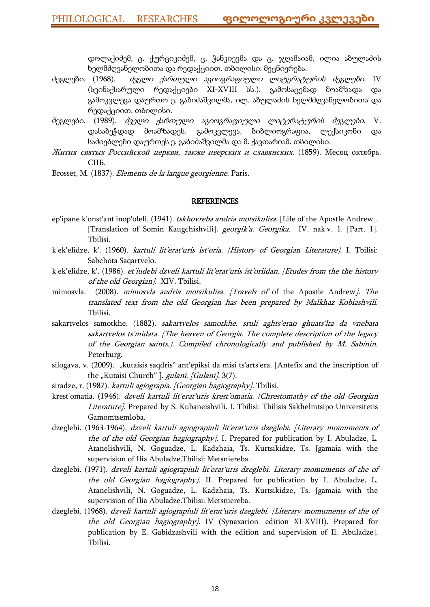დოლაქიძემ, ც. ქურციკიძემ, ც. ჭანკიევმა და ც. ჯღამაიამ, ილია აბულაძის ხელმძღვანელობითა და რედაქციით. თბილისი: მეცნიერება.

- ძეგლები. (1968). ძველი ქართული აგიოგრაფიული ლიტერატურის ძეგლები. IV (სვინაქსარული რედაქციები XI-XVIII სს.). გამოსაცემად მოამზადა და გამოკვლევა დაურთო ე. გაბიძაშვილმა, ილ. აბულაძის ხელმძღვანელობითა და რედაქციით. თბილისი.
- ძეგლები. (1989). ძველი ქართული აგიოგრაფიული ლიტერატურის ძეგლები. V. დასაბეჭდად მოამზადეს, გამოკვლევა, ბიბლიოგრაფია, ლექსიკონი და საძიებლები დაურთეს ე. გაბიძაშვილმა და მ. ქავთარიამ. თბილისი.
- Жития святых Российской церкви, также иверских и славянских. (1859). Месяц октябрь. СПБ.
- Brosset, M. (1837). Elements de la langue georgienne. Paris.

#### **REFERENCES**

- ep'ipane k'onst'ant'inop'oleli. (1941). tskhovreba andria motsikulisa. [Life of the Apostle Andrew]. [Translation of Somin Kaugchishvili]. georgik'a. Georgika. IV. nak'v. 1. [Part. 1]. Tbilisi.
- k'ek'elidze, k'. (1960). *kartuli lit'erat'uris ist'oria. [History of Georgian Literature]*. I. Tbilisi: Sabchota Saqartvelo.
- k'ek'elidze, k'. (1986). et'iudebi dzveli kartuli lit'erat'uris ist'oriidan. [Etudes from the the history of the old Georgian]. XIV. Tbilisi.
- mimosvla. (2008). mimosvla andria motsikulisa. [Travels of of the Apostle Andrew]. The translated text from the old Georgian has been prepared by Malkhaz Kobiashvili. Tbilisi.
- sakartvelos samotkhe. (1882). sakartvelos samotkhe. sruli aghts'erao ghuats'lta da vnebata sakartvelos ts'midata. [The heaven of Georgia. The complete description of the legacy of the Georgian saints.]. Compiled chronologically and published by M. Sabinin. Peterburg.
- silogava, v. (2009). "kutaisis saqdris" ant'epiksi da misi ts'arts'era. [Antefix and the inscription of the "Kutaisi Church" ]. *gulani. [Gulani].* 3(7).
- siradze, r. (1987). kartuli agiograpia. [Georgian hagiography]. Tbilisi.
- krest'omatia. (1946). dzveli kartuli lit'erat'uris krest'omatia. [Chrestomathy of the old Georgian Literature]. Prepared by S. Kubaneishvili. I. Tbilisi: Tbilisis Sakhelmtsipo Universitetis Gamomtsemloba.
- dzeglebi. (1963-1964). dzveli kartuli agiograpiuli lit'erat'uris dzeglebi. [Literary momuments of the of the old Georgian hagiography]. I. Prepared for publication by I. Abuladze, L. Atanelishvili, N. Goguadze, L. Kadzhaia, Ts. Kurtsikidze, Ts. Jgamaia with the supervision of Ilia Abuladze.Tbilisi: Metsniereba.
- dzeglebi. (1971). dzveli kartuli agiograpiuli lit'erat'uris dzeglebi. Literary momuments of the of the old Georgian hagiography]. II. Prepared for publication by I. Abuladze, L. Atanelishvili, N. Goguadze, L. Kadzhaia, Ts. Kurtsikidze, Ts. Jgamaia with the supervision of Ilia Abuladze.Tbilisi: Metsniereba.
- dzeglebi. (1968). dzveli kartuli agiograpiuli lit'erat'uris dzeglebi. [Literary momuments of the of the old Georgian hagiography]. IV (Synaxarion edition XI-XVIII). Prepared for publication by E. Gabidzashvili with the edition and supervision of Il. Abuladze]. Tbilisi.